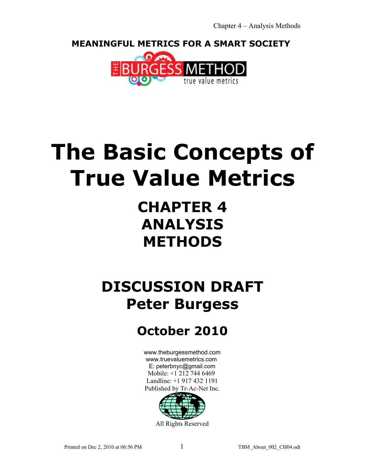**MEANINGFUL METRICS FOR A SMART SOCIETY** 



# **The Basic Concepts of True Value Metrics**

# **CHAPTER 4 ANALYSIS METHODS**

# **DISCUSSION DRAFT Peter Burgess**

## **October 2010**

[www.theburgessmethod.com](http://www.theburgessmethod.com/) [www.truevaluemetrics.com](http://www.tr-ac-net.org/) E: peterbnyc@gmail.com Mobile: +1 212 744 6469 Landline: +1 917 432 1191 Published by Tr-Ac-Net Inc.



All Rights Reserved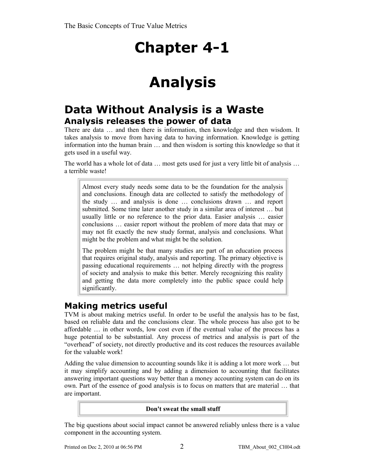# **Analysis**

## **Data Without Analysis is a Waste Analysis releases the power of data**

There are data … and then there is information, then knowledge and then wisdom. It takes analysis to move from having data to having information. Knowledge is getting information into the human brain … and then wisdom is sorting this knowledge so that it gets used in a useful way.

The world has a whole lot of data … most gets used for just a very little bit of analysis … a terrible waste!

Almost every study needs some data to be the foundation for the analysis and conclusions. Enough data are collected to satisfy the methodology of the study … and analysis is done … conclusions drawn … and report submitted. Some time later another study in a similar area of interest … but usually little or no reference to the prior data. Easier analysis … easier conclusions … easier report without the problem of more data that may or may not fit exactly the new study format, analysis and conclusions. What might be the problem and what might be the solution.

The problem might be that many studies are part of an education process that requires original study, analysis and reporting. The primary objective is passing educational requirements … not helping directly with the progress of society and analysis to make this better. Merely recognizing this reality and getting the data more completely into the public space could help significantly.

## **Making metrics useful**

TVM is about making metrics useful. In order to be useful the analysis has to be fast, based on reliable data and the conclusions clear. The whole process has also got to be affordable … in other words, low cost even if the eventual value of the process has a huge potential to be substantial. Any process of metrics and analysis is part of the "overhead" of society, not directly productive and its cost reduces the resources available for the valuable work!

Adding the value dimension to accounting sounds like it is adding a lot more work … but it may simplify accounting and by adding a dimension to accounting that facilitates answering important questions way better than a money accounting system can do on its own. Part of the essence of good analysis is to focus on matters that are material … that are important.

#### **Don't sweat the small stuff**

The big questions about social impact cannot be answered reliably unless there is a value component in the accounting system.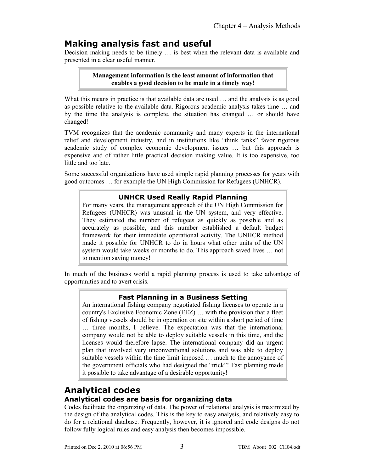## **Making analysis fast and useful**

Decision making needs to be timely … is best when the relevant data is available and presented in a clear useful manner.

> **Management information is the least amount of information that enables a good decision to be made in a timely way!**

What this means in practice is that available data are used ... and the analysis is as good as possible relative to the available data. Rigorous academic analysis takes time … and by the time the analysis is complete, the situation has changed … or should have changed!

TVM recognizes that the academic community and many experts in the international relief and development industry, and in institutions like "think tanks" favor rigorous academic study of complex economic development issues … but this approach is expensive and of rather little practical decision making value. It is too expensive, too little and too late.

Some successful organizations have used simple rapid planning processes for years with good outcomes … for example the UN High Commission for Refugees (UNHCR).

## **UNHCR Used Really Rapid Planning**

For many years, the management approach of the UN High Commission for Refugees (UNHCR) was unusual in the UN system, and very effective. They estimated the number of refugees as quickly as possible and as accurately as possible, and this number established a default budget framework for their immediate operational activity. The UNHCR method made it possible for UNHCR to do in hours what other units of the UN system would take weeks or months to do. This approach saved lives … not to mention saving money!

In much of the business world a rapid planning process is used to take advantage of opportunities and to avert crisis.

## **Fast Planning in a Business Setting**

An international fishing company negotiated fishing licenses to operate in a country's Exclusive Economic Zone (EEZ) … with the provision that a fleet of fishing vessels should be in operation on site within a short period of time … three months, I believe. The expectation was that the international company would not be able to deploy suitable vessels in this time, and the licenses would therefore lapse. The international company did an urgent plan that involved very unconventional solutions and was able to deploy suitable vessels within the time limit imposed … much to the annoyance of the government officials who had designed the "trick"! Fast planning made it possible to take advantage of a desirable opportunity!

## **Analytical codes Analytical codes are basis for organizing data**

Codes facilitate the organizing of data. The power of relational analysis is maximized by the design of the analytical codes. This is the key to easy analysis, and relatively easy to do for a relational database. Frequently, however, it is ignored and code designs do not follow fully logical rules and easy analysis then becomes impossible.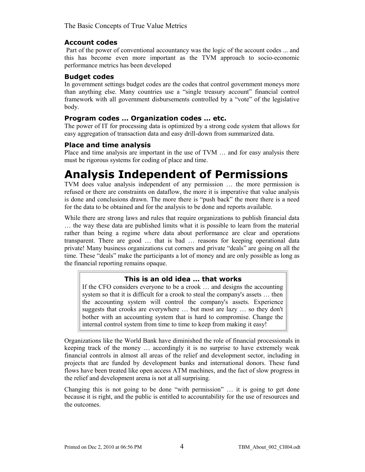#### **Account codes**

 Part of the power of conventional accountancy was the logic of the account codes ... and this has become even more important as the TVM approach to socio-economic performance metrics has been developed

#### **Budget codes**

In government settings budget codes are the codes that control government moneys more than anything else. Many countries use a "single treasury account" financial control framework with all government disbursements controlled by a "vote" of the legislative body.

### **Program codes … Organization codes … etc.**

The power of IT for processing data is optimized by a strong code system that allows for easy aggregation of transaction data and easy drill-down from summarized data.

### **Place and time analysis**

Place and time analysis are important in the use of TVM … and for easy analysis there must be rigorous systems for coding of place and time.

## **Analysis Independent of Permissions**

TVM does value analysis independent of any permission … the more permission is refused or there are constraints on dataflow, the more it is imperative that value analysis is done and conclusions drawn. The more there is "push back" the more there is a need for the data to be obtained and for the analysis to be done and reports available.

While there are strong laws and rules that require organizations to publish financial data … the way these data are published limits what it is possible to learn from the material rather than being a regime where data about performance are clear and operations transparent. There are good … that is bad … reasons for keeping operational data private! Many business organizations cut corners and private "deals" are going on all the time. These "deals" make the participants a lot of money and are only possible as long as the financial reporting remains opaque.

### **This is an old idea … that works**

If the CFO considers everyone to be a crook … and designs the accounting system so that it is difficult for a crook to steal the company's assets … then the accounting system will control the company's assets. Experience suggests that crooks are everywhere … but most are lazy … so they don't bother with an accounting system that is hard to compromise. Change the internal control system from time to time to keep from making it easy!

Organizations like the World Bank have diminished the role of financial processionals in keeping track of the money … accordingly it is no surprise to have extremely weak financial controls in almost all areas of the relief and development sector, including in projects that are funded by development banks and international donors. These fund flows have been treated like open access ATM machines, and the fact of slow progress in the relief and development arena is not at all surprising.

Changing this is not going to be done "with permission" … it is going to get done because it is right, and the public is entitled to accountability for the use of resources and the outcomes.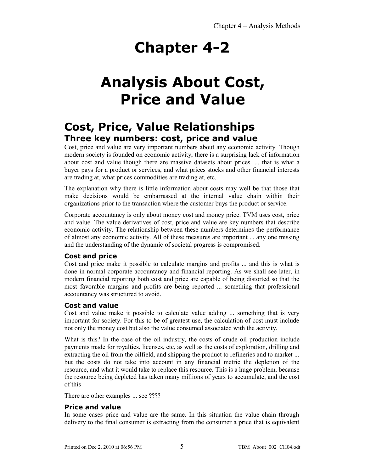# **Analysis About Cost, Price and Value**

## **Cost, Price, Value Relationships Three key numbers: cost, price and value**

Cost, price and value are very important numbers about any economic activity. Though modern society is founded on economic activity, there is a surprising lack of information about cost and value though there are massive datasets about prices. ... that is what a buyer pays for a product or services, and what prices stocks and other financial interests are trading at, what prices commodities are trading at, etc.

The explanation why there is little information about costs may well be that those that make decisions would be embarrassed at the internal value chain within their organizations prior to the transaction where the customer buys the product or service.

Corporate accountancy is only about money cost and money price. TVM uses cost, price and value. The value derivatives of cost, price and value are key numbers that describe economic activity. The relationship between these numbers determines the performance of almost any economic activity. All of these measures are important ... any one missing and the understanding of the dynamic of societal progress is compromised.

## **Cost and price**

Cost and price make it possible to calculate margins and profits ... and this is what is done in normal corporate accountancy and financial reporting. As we shall see later, in modern financial reporting both cost and price are capable of being distorted so that the most favorable margins and profits are being reported ... something that professional accountancy was structured to avoid.

## **Cost and value**

Cost and value make it possible to calculate value adding ... something that is very important for society. For this to be of greatest use, the calculation of cost must include not only the money cost but also the value consumed associated with the activity.

What is this? In the case of the oil industry, the costs of crude oil production include payments made for royalties, licenses, etc, as well as the costs of exploration, drilling and extracting the oil from the oilfield, and shipping the product to refineries and to market ... but the costs do not take into account in any financial metric the depletion of the resource, and what it would take to replace this resource. This is a huge problem, because the resource being depleted has taken many millions of years to accumulate, and the cost of this

There are other examples ... see ????

## **Price and value**

In some cases price and value are the same. In this situation the value chain through delivery to the final consumer is extracting from the consumer a price that is equivalent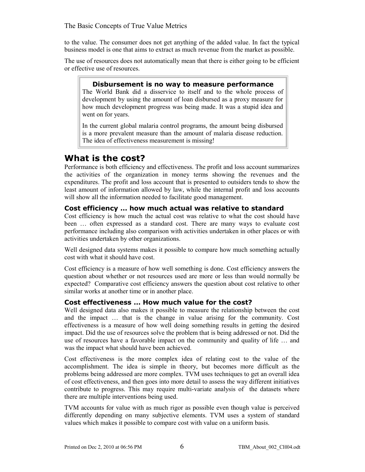to the value. The consumer does not get anything of the added value. In fact the typical business model is one that aims to extract as much revenue from the market as possible.

The use of resources does not automatically mean that there is either going to be efficient or effective use of resources.

#### **Disbursement is no way to measure performance**

The World Bank did a disservice to itself and to the whole process of development by using the amount of loan disbursed as a proxy measure for how much development progress was being made. It was a stupid idea and went on for years.

In the current global malaria control programs, the amount being disbursed is a more prevalent measure than the amount of malaria disease reduction. The idea of effectiveness measurement is missing!

## **What is the cost?**

Performance is both efficiency and effectiveness. The profit and loss account summarizes the activities of the organization in money terms showing the revenues and the expenditures. The profit and loss account that is presented to outsiders tends to show the least amount of information allowed by law, while the internal profit and loss accounts will show all the information needed to facilitate good management.

#### **Cost efficiency … how much actual was relative to standard**

Cost efficiency is how much the actual cost was relative to what the cost should have been … often expressed as a standard cost. There are many ways to evaluate cost performance including also comparison with activities undertaken in other places or with activities undertaken by other organizations.

Well designed data systems makes it possible to compare how much something actually cost with what it should have cost.

Cost efficiency is a measure of how well something is done. Cost efficiency answers the question about whether or not resources used are more or less than would normally be expected? Comparative cost efficiency answers the question about cost relative to other similar works at another time or in another place.

#### **Cost effectiveness … How much value for the cost?**

Well designed data also makes it possible to measure the relationship between the cost and the impact … that is the change in value arising for the community. Cost effectiveness is a measure of how well doing something results in getting the desired impact. Did the use of resources solve the problem that is being addressed or not. Did the use of resources have a favorable impact on the community and quality of life … and was the impact what should have been achieved.

Cost effectiveness is the more complex idea of relating cost to the value of the accomplishment. The idea is simple in theory, but becomes more difficult as the problems being addressed are more complex. TVM uses techniques to get an overall idea of cost effectiveness, and then goes into more detail to assess the way different initiatives contribute to progress. This may require multi-variate analysis of the datasets where there are multiple interventions being used.

TVM accounts for value with as much rigor as possible even though value is perceived differently depending on many subjective elements. TVM uses a system of standard values which makes it possible to compare cost with value on a uniform basis.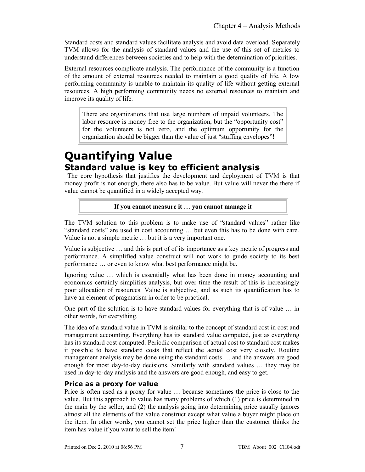Standard costs and standard values facilitate analysis and avoid data overload. Separately TVM allows for the analysis of standard values and the use of this set of metrics to understand differences between societies and to help with the determination of priorities.

External resources complicate analysis. The performance of the community is a function of the amount of external resources needed to maintain a good quality of life. A low performing community is unable to maintain its quality of life without getting external resources. A high performing community needs no external resources to maintain and improve its quality of life.

There are organizations that use large numbers of unpaid volunteers. The labor resource is money free to the organization, but the "opportunity cost" for the volunteers is not zero, and the optimum opportunity for the organization should be bigger than the value of just "stuffing envelopes"!

## **Quantifying Value Standard value is key to efficient analysis**

 The core hypothesis that justifies the development and deployment of TVM is that money profit is not enough, there also has to be value. But value will never the there if value cannot be quantified in a widely accepted way.

#### **If you cannot measure it … you cannot manage it**

The TVM solution to this problem is to make use of "standard values" rather like "standard costs" are used in cost accounting … but even this has to be done with care. Value is not a simple metric … but it is a very important one.

Value is subjective … and this is part of of its importance as a key metric of progress and performance. A simplified value construct will not work to guide society to its best performance … or even to know what best performance might be.

Ignoring value … which is essentially what has been done in money accounting and economics certainly simplifies analysis, but over time the result of this is increasingly poor allocation of resources. Value is subjective, and as such its quantification has to have an element of pragmatism in order to be practical.

One part of the solution is to have standard values for everything that is of value … in other words, for everything.

The idea of a standard value in TVM is similar to the concept of standard cost in cost and management accounting. Everything has its standard value computed, just as everything has its standard cost computed. Periodic comparison of actual cost to standard cost makes it possible to have standard costs that reflect the actual cost very closely. Routine management analysis may be done using the standard costs … and the answers are good enough for most day-to-day decisions. Similarly with standard values … they may be used in day-to-day analysis and the answers are good enough, and easy to get.

## **Price as a proxy for value**

Price is often used as a proxy for value … because sometimes the price is close to the value. But this approach to value has many problems of which (1) price is determined in the main by the seller, and (2) the analysis going into determining price usually ignores almost all the elements of the value construct except what value a buyer might place on the item. In other words, you cannot set the price higher than the customer thinks the item has value if you want to sell the item!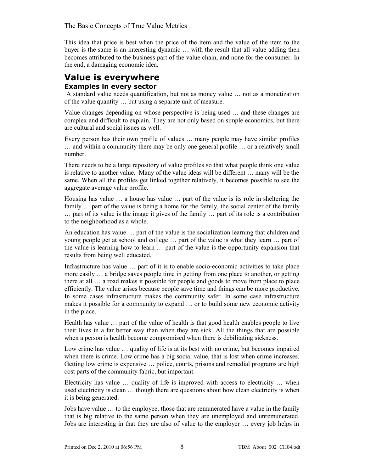This idea that price is best when the price of the item and the value of the item to the buyer is the same is an interesting dynamic … with the result that all value adding then becomes attributed to the business part of the value chain, and none for the consumer. In the end, a damaging economic idea.

## **Value is everywhere Examples in every sector**

 A standard value needs quantification, but not as money value … not as a monetization of the value quantity … but using a separate unit of measure.

Value changes depending on whose perspective is being used … and these changes are complex and difficult to explain. They are not only based on simple economics, but there are cultural and social issues as well.

Every person has their own profile of values … many people may have similar profiles … and within a community there may be only one general profile … or a relatively small number.

There needs to be a large repository of value profiles so that what people think one value is relative to another value. Many of the value ideas will be different … many will be the same. When all the profiles get linked together relatively, it becomes possible to see the aggregate average value profile.

Housing has value … a house has value … part of the value is its role in sheltering the family ... part of the value is being a home for the family, the social center of the family … part of its value is the image it gives of the family … part of its role is a contribution to the neighborhood as a whole.

An education has value … part of the value is the socialization learning that children and young people get at school and college … part of the value is what they learn … part of the value is learning how to learn … part of the value is the opportunity expansion that results from being well educated.

Infrastructure has value … part of it is to enable socio-economic activities to take place more easily … a bridge saves people time in getting from one place to another, or getting there at all … a road makes it possible for people and goods to move from place to place efficiently. The value arises because people save time and things can be more productive. In some cases infrastructure makes the community safer. In some case infrastructure makes it possible for a community to expand … or to build some new economic activity in the place.

Health has value … part of the value of health is that good health enables people to live their lives in a far better way than when they are sick. All the things that are possible when a person is health become compromised when there is debilitating sickness.

Low crime has value … quality of life is at its best with no crime, but becomes impaired when there is crime. Low crime has a big social value, that is lost when crime increases. Getting low crime is expensive … police, courts, prisons and remedial programs are high cost parts of the community fabric, but important.

Electricity has value … quality of life is improved with access to electricity … when used electricity is clean … though there are questions about how clean electricity is when it is being generated.

Jobs have value … to the employee, those that are remunerated have a value in the family that is big relative to the same person when they are unemployed and unremunerated. Jobs are interesting in that they are also of value to the employer … every job helps in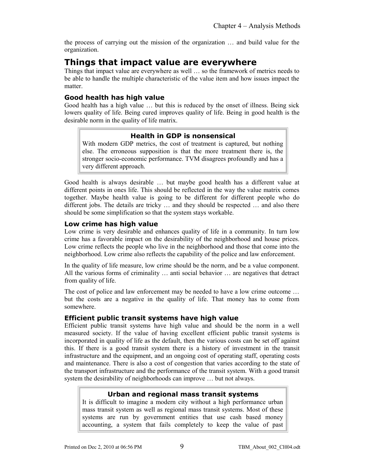the process of carrying out the mission of the organization … and build value for the organization.

## **Things that impact value are everywhere**

Things that impact value are everywhere as well … so the framework of metrics needs to be able to handle the multiple characteristic of the value item and how issues impact the matter.

## **Good health has high value**

Good health has a high value … but this is reduced by the onset of illness. Being sick lowers quality of life. Being cured improves quality of life. Being in good health is the desirable norm in the quality of life matrix.

## **Health in GDP is nonsensical**

With modern GDP metrics, the cost of treatment is captured, but nothing else. The erroneous supposition is that the more treatment there is, the stronger socio-economic performance. TVM disagrees profoundly and has a very different approach.

Good health is always desirable … but maybe good health has a different value at different points in ones life. This should be reflected in the way the value matrix comes together. Maybe health value is going to be different for different people who do different jobs. The details are tricky … and they should be respected … and also there should be some simplification so that the system stays workable.

### **Low crime has high value**

Low crime is very desirable and enhances quality of life in a community. In turn low crime has a favorable impact on the desirability of the neighborhood and house prices. Low crime reflects the people who live in the neighborhood and those that come into the neighborhood. Low crime also reflects the capability of the police and law enforcement.

In the quality of life measure, low crime should be the norm, and be a value component. All the various forms of criminality … anti social behavior … are negatives that detract from quality of life.

The cost of police and law enforcement may be needed to have a low crime outcome … but the costs are a negative in the quality of life. That money has to come from somewhere.

### **Efficient public transit systems have high value**

Efficient public transit systems have high value and should be the norm in a well measured society. If the value of having excellent efficient public transit systems is incorporated in quality of life as the default, then the various costs can be set off against this. If there is a good transit system there is a history of investment in the transit infrastructure and the equipment, and an ongoing cost of operating staff, operating costs and maintenance. There is also a cost of congestion that varies according to the state of the transport infrastructure and the performance of the transit system. With a good transit system the desirability of neighborhoods can improve … but not always.

### **Urban and regional mass transit systems**

It is difficult to imagine a modern city without a high performance urban mass transit system as well as regional mass transit systems. Most of these systems are run by government entities that use cash based money accounting, a system that fails completely to keep the value of past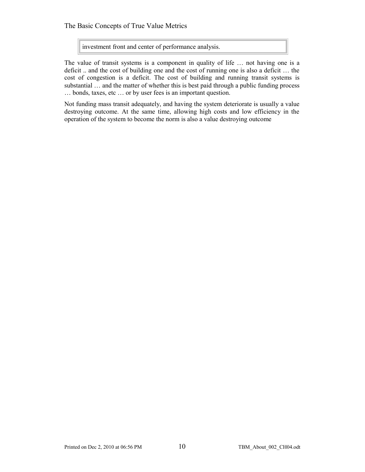investment front and center of performance analysis.

The value of transit systems is a component in quality of life … not having one is a deficit .. and the cost of building one and the cost of running one is also a deficit … the cost of congestion is a deficit. The cost of building and running transit systems is substantial … and the matter of whether this is best paid through a public funding process … bonds, taxes, etc … or by user fees is an important question.

Not funding mass transit adequately, and having the system deteriorate is usually a value destroying outcome. At the same time, allowing high costs and low efficiency in the operation of the system to become the norm is also a value destroying outcome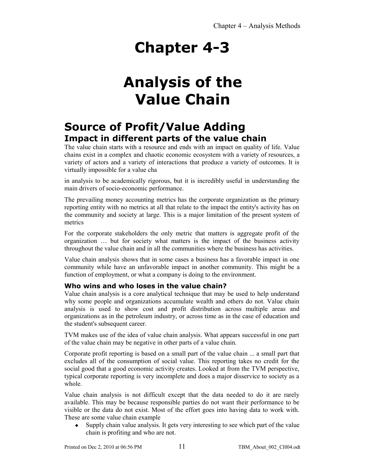# **Analysis of the Value Chain**

## **Source of Profit/Value Adding Impact in different parts of the value chain**

The value chain starts with a resource and ends with an impact on quality of life. Value chains exist in a complex and chaotic economic ecosystem with a variety of resources, a variety of actors and a variety of interactions that produce a variety of outcomes. It is virtually impossible for a value cha

in analysis to be academically rigorous, but it is incredibly useful in understanding the main drivers of socio-economic performance.

The prevailing money accounting metrics has the corporate organization as the primary reporting entity with no metrics at all that relate to the impact the entity's activity has on the community and society at large. This is a major limitation of the present system of metrics

For the corporate stakeholders the only metric that matters is aggregate profit of the organization … but for society what matters is the impact of the business activity throughout the value chain and in all the communities where the business has activities.

Value chain analysis shows that in some cases a business has a favorable impact in one community while have an unfavorable impact in another community. This might be a function of employment, or what a company is doing to the environment.

## **Who wins and who loses in the value chain?**

Value chain analysis is a core analytical technique that may be used to help understand why some people and organizations accumulate wealth and others do not. Value chain analysis is used to show cost and profit distribution across multiple areas and organizations as in the petroleum industry, or across time as in the case of education and the student's subsequent career.

TVM makes use of the idea of value chain analysis. What appears successful in one part of the value chain may be negative in other parts of a value chain.

Corporate profit reporting is based on a small part of the value chain ... a small part that excludes all of the consumption of social value. This reporting takes no credit for the social good that a good economic activity creates. Looked at from the TVM perspective, typical corporate reporting is very incomplete and does a major disservice to society as a whole.

Value chain analysis is not difficult except that the data needed to do it are rarely available. This may be because responsible parties do not want their performance to be visible or the data do not exist. Most of the effort goes into having data to work with. These are some value chain example

 Supply chain value analysis. It gets very interesting to see which part of the value chain is profiting and who are not.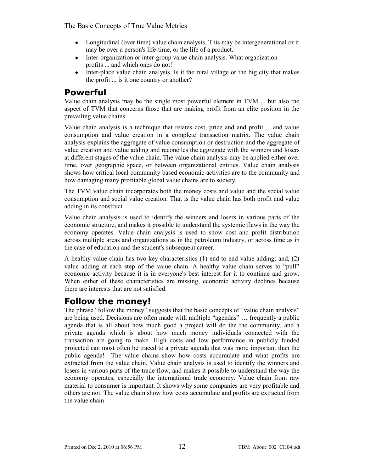- Longitudinal (over time) value chain analysis. This may be intergenerational or it may be over a person's life-time, or the life of a product.
- Inter-organization or inter-group value chain analysis. What organization profits ... and which ones do not!
- Inter-place value chain analysis. Is it the rural village or the big city that makes the profit ... is it one country or another?

## **Powerful**

Value chain analysis may be the single most powerful element in TVM ... but also the aspect of TVM that concerns those that are making profit from an elite position in the prevailing value chains.

Value chain analysis is a technique that relates cost, price and and profit ... and value consumption and value creation in a complete transaction matrix. The value chain analysis explains the aggregate of value consumption or destruction and the aggregate of value creation and value adding and reconciles the aggregate with the winners and losers at different stages of the value chain. The value chain analysis may be applied either over time, over geographic space, or between organizational entities. Value chain analysis shows how critical local community based economic activities are to the community and how damaging many profitable global value chains are to society.

The TVM value chain incorporates both the money costs and value and the social value consumption and social value creation. That is the value chain has both profit and value adding in its construct.

Value chain analysis is used to identify the winners and losers in various parts of the economic structure, and makes it possible to understand the systemic flaws in the way the economy operates. Value chain analysis is used to show cost and profit distribution across multiple areas and organizations as in the petroleum industry, or across time as in the case of education and the student's subsequent career.

A healthy value chain has two key characteristics (1) end to end value adding; and, (2) value adding at each step of the value chain. A healthy value chain serves to "pull" economic activity because it is in everyone's best interest for it to continue and grow. When either of these characteristics are missing, economic activity declines because there are interests that are not satisfied.

## **Follow the money!**

The phrase "follow the money" suggests that the basic concepts of "value chain analysis" are being used. Decisions are often made with multiple "agendas" … frequently a public agenda that is all about how much good a project will do the the community, and a private agenda which is about how much money individuals connected with the transaction are going to make. High costs and low performance in publicly funded projected can most often be traced to a private agenda that was more important than the public agenda! The value chains show how costs accumulate and what profits are extracted from the value chain. Value chain analysis is used to identify the winners and losers in various parts of the trade flow, and makes it possible to understand the way the economy operates, especially the international trade economy. Value chain from raw material to consumer is important. It shows why some companies are very profitable and others are not. The value chain show how costs accumulate and profits are extracted from the value chain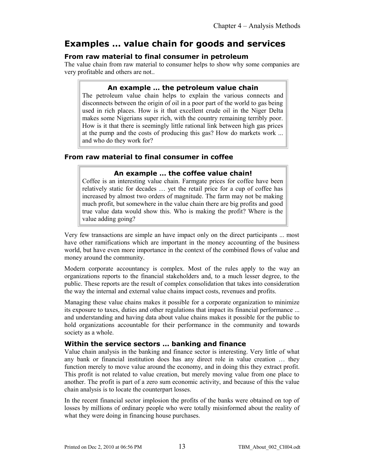## **Examples … value chain for goods and services**

## **From raw material to final consumer in petroleum**

The value chain from raw material to consumer helps to show why some companies are very profitable and others are not..

### **An example … the petroleum value chain**

The petroleum value chain helps to explain the various connects and disconnects between the origin of oil in a poor part of the world to gas being used in rich places. How is it that excellent crude oil in the Niger Delta makes some Nigerians super rich, with the country remaining terribly poor. How is it that there is seemingly little rational link between high gas prices at the pump and the costs of producing this gas? How do markets work ... and who do they work for?

## **From raw material to final consumer in coffee**

### **An example … the coffee value chain!**

Coffee is an interesting value chain. Farmgate prices for coffee have been relatively static for decades … yet the retail price for a cup of coffee has increased by almost two orders of magnitude. The farm may not be making much profit, but somewhere in the value chain there are big profits and good true value data would show this. Who is making the profit? Where is the value adding going?

Very few transactions are simple an have impact only on the direct participants ... most have other ramifications which are important in the money accounting of the business world, but have even more importance in the context of the combined flows of value and money around the community.

Modern corporate accountancy is complex. Most of the rules apply to the way an organizations reports to the financial stakeholders and, to a much lesser degree, to the public. These reports are the result of complex consolidation that takes into consideration the way the internal and external value chains impact costs, revenues and profits.

Managing these value chains makes it possible for a corporate organization to minimize its exposure to taxes, duties and other regulations that impact its financial performance ... and understanding and having data about value chains makes it possible for the public to hold organizations accountable for their performance in the community and towards society as a whole.

### **Within the service sectors … banking and finance**

Value chain analysis in the banking and finance sector is interesting. Very little of what any bank or financial institution does has any direct role in value creation … they function merely to move value around the economy, and in doing this they extract profit. This profit is not related to value creation, but merely moving value from one place to another. The profit is part of a zero sum economic activity, and because of this the value chain analysis is to locate the counterpart losses.

In the recent financial sector implosion the profits of the banks were obtained on top of losses by millions of ordinary people who were totally misinformed about the reality of what they were doing in financing house purchases.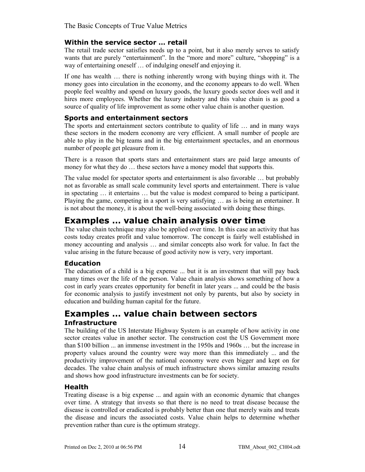### **Within the service sector … retail**

The retail trade sector satisfies needs up to a point, but it also merely serves to satisfy wants that are purely "entertainment". In the "more and more" culture, "shopping" is a way of entertaining oneself … of indulging oneself and enjoying it.

If one has wealth … there is nothing inherently wrong with buying things with it. The money goes into circulation in the economy, and the economy appears to do well. When people feel wealthy and spend on luxury goods, the luxury goods sector does well and it hires more employees. Whether the luxury industry and this value chain is as good a source of quality of life improvement as some other value chain is another question.

## **Sports and entertainment sectors**

The sports and entertainment sectors contribute to quality of life … and in many ways these sectors in the modern economy are very efficient. A small number of people are able to play in the big teams and in the big entertainment spectacles, and an enormous number of people get pleasure from it.

There is a reason that sports stars and entertainment stars are paid large amounts of money for what they do … these sectors have a money model that supports this.

The value model for spectator sports and entertainment is also favorable … but probably not as favorable as small scale community level sports and entertainment. There is value in spectating … it entertains … but the value is modest compared to being a participant. Playing the game, competing in a sport is very satisfying … as is being an entertainer. It is not about the money, it is about the well-being associated with doing these things.

## **Examples … value chain analysis over time**

The value chain technique may also be applied over time. In this case an activity that has costs today creates profit and value tomorrow. The concept is fairly well established in money accounting and analysis … and similar concepts also work for value. In fact the value arising in the future because of good activity now is very, very important.

### **Education**

The education of a child is a big expense ... but it is an investment that will pay back many times over the life of the person. Value chain analysis shows something of how a cost in early years creates opportunity for benefit in later years ... and could be the basis for economic analysis to justify investment not only by parents, but also by society in education and building human capital for the future.

## **Examples … value chain between sectors Infrastructure**

The building of the US Interstate Highway System is an example of how activity in one sector creates value in another sector. The construction cost the US Government more than \$100 billion ... an immense investment in the 1950s and 1960s … but the increase in property values around the country were way more than this immediately ... and the productivity improvement of the national economy were even bigger and kept on for decades. The value chain analysis of much infrastructure shows similar amazing results and shows how good infrastructure investments can be for society.

## **Health**

Treating disease is a big expense ... and again with an economic dynamic that changes over time. A strategy that invests so that there is no need to treat disease because the disease is controlled or eradicated is probably better than one that merely waits and treats the disease and incurs the associated costs. Value chain helps to determine whether prevention rather than cure is the optimum strategy.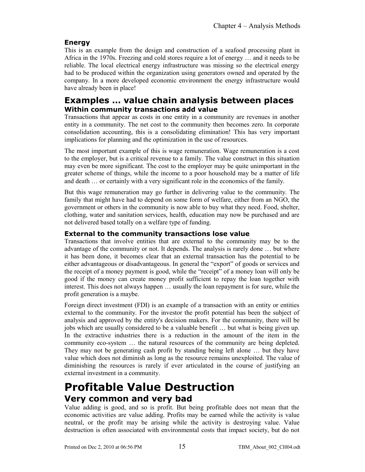## **Energy**

This is an example from the design and construction of a seafood processing plant in Africa in the 1970s. Freezing and cold stores require a lot of energy … and it needs to be reliable. The local electrical energy infrastructure was missing so the electrical energy had to be produced within the organization using generators owned and operated by the company. In a more developed economic environment the energy infrastructure would have already been in place!

## **Examples … value chain analysis between places Within community transactions add value**

Transactions that appear as costs in one entity in a community are revenues in another entity in a community. The net cost to the community then becomes zero. In corporate consolidation accounting, this is a consolidating elimination! This has very important implications for planning and the optimization in the use of resources.

The most important example of this is wage remuneration. Wage remuneration is a cost to the employer, but is a critical revenue to a family. The value construct in this situation may even be more significant. The cost to the employer may be quite unimportant in the greater scheme of things, while the income to a poor household may be a matter of life and death … or certainly with a very significant role in the economics of the family.

But this wage remuneration may go further in delivering value to the community. The family that might have had to depend on some form of welfare, either from an NGO, the government or others in the community is now able to buy what they need. Food, shelter, clothing, water and sanitation services, health, education may now be purchased and are not delivered based totally on a welfare type of funding.

## **External to the community transactions lose value**

Transactions that involve entities that are external to the community may be to the advantage of the community or not. It depends. The analysis is rarely done … but where it has been done, it becomes clear that an external transaction has the potential to be either advantageous or disadvantageous. In general the "export" of goods or services and the receipt of a money payment is good, while the "receipt" of a money loan will only be good if the money can create money profit sufficient to repay the loan together with interest. This does not always happen … usually the loan repayment is for sure, while the profit generation is a maybe.

Foreign direct investment (FDI) is an example of a transaction with an entity or entities external to the community. For the investor the profit potential has been the subject of analysis and approved by the entity's decision makers. For the community, there will be jobs which are usually considered to be a valuable benefit … but what is being given up. In the extractive industries there is a reduction in the amount of the item in the community eco-system … the natural resources of the community are being depleted. They may not be generating cash profit by standing being left alone … but they have value which does not diminish as long as the resource remains unexploited. The value of diminishing the resources is rarely if ever articulated in the course of justifying an external investment in a community.

## **Profitable Value Destruction Very common and very bad**

Value adding is good, and so is profit. But being profitable does not mean that the economic activities are value adding. Profits may be earned while the activity is value neutral, or the profit may be arising while the activity is destroying value. Value destruction is often associated with environmental costs that impact society, but do not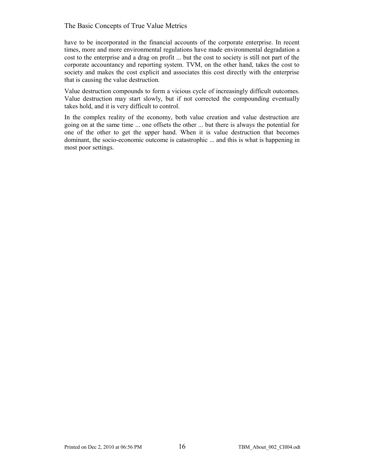have to be incorporated in the financial accounts of the corporate enterprise. In recent times, more and more environmental regulations have made environmental degradation a cost to the enterprise and a drag on profit ... but the cost to society is still not part of the corporate accountancy and reporting system. TVM, on the other hand, takes the cost to society and makes the cost explicit and associates this cost directly with the enterprise that is causing the value destruction.

Value destruction compounds to form a vicious cycle of increasingly difficult outcomes. Value destruction may start slowly, but if not corrected the compounding eventually takes hold, and it is very difficult to control.

In the complex reality of the economy, both value creation and value destruction are going on at the same time ... one offsets the other ... but there is always the potential for one of the other to get the upper hand. When it is value destruction that becomes dominant, the socio-economic outcome is catastrophic ... and this is what is happening in most poor settings.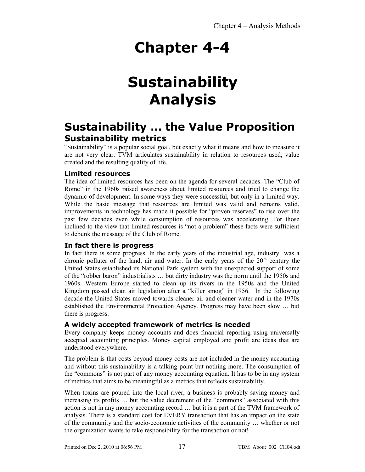# **Sustainability Analysis**

## **Sustainability … the Value Proposition Sustainability metrics**

"Sustainability" is a popular social goal, but exactly what it means and how to measure it are not very clear. TVM articulates sustainability in relation to resources used, value created and the resulting quality of life.

## **Limited resources**

The idea of limited resources has been on the agenda for several decades. The "Club of Rome" in the 1960s raised awareness about limited resources and tried to change the dynamic of development. In some ways they were successful, but only in a limited way. While the basic message that resources are limited was valid and remains valid, improvements in technology has made it possible for "proven reserves" to rise over the past few decades even while consumption of resources was accelerating. For those inclined to the view that limited resources is "not a problem" these facts were sufficient to debunk the message of the Club of Rome.

### **In fact there is progress**

In fact there is some progress. In the early years of the industrial age, industry was a chronic polluter of the land, air and water. In the early years of the  $20<sup>th</sup>$  century the United States established its National Park system with the unexpected support of some of the "robber baron" industrialists … but dirty industry was the norm until the 1950s and 1960s. Western Europe started to clean up its rivers in the 1950s and the United Kingdom passed clean air legislation after a "killer smog" in 1956. In the following decade the United States moved towards cleaner air and cleaner water and in the 1970s established the Environmental Protection Agency. Progress may have been slow … but there is progress.

### **A widely accepted framework of metrics is needed**

Every company keeps money accounts and does financial reporting using universally accepted accounting principles. Money capital employed and profit are ideas that are understood everywhere.

The problem is that costs beyond money costs are not included in the money accounting and without this sustainability is a talking point but nothing more. The consumption of the "commons" is not part of any money accounting equation. It has to be in any system of metrics that aims to be meaningful as a metrics that reflects sustainability.

When toxins are poured into the local river, a business is probably saving money and increasing its profits … but the value decrement of the "commons" associated with this action is not in any money accounting record … but it is a part of the TVM framework of analysis. There is a standard cost for EVERY transaction that has an impact on the state of the community and the socio-economic activities of the community … whether or not the organization wants to take responsibility for the transaction or not!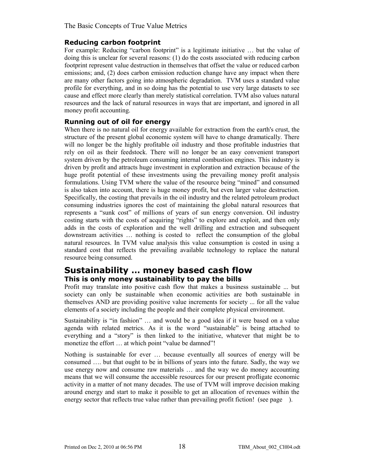#### **Reducing carbon footprint**

For example: Reducing "carbon footprint" is a legitimate initiative … but the value of doing this is unclear for several reasons: (1) do the costs associated with reducing carbon footprint represent value destruction in themselves that offset the value or reduced carbon emissions; and, (2) does carbon emission reduction change have any impact when there are many other factors going into atmospheric degradation. TVM uses a standard value profile for everything, and in so doing has the potential to use very large datasets to see cause and effect more clearly than merely statistical correlation. TVM also values natural resources and the lack of natural resources in ways that are important, and ignored in all money profit accounting.

## **Running out of oil for energy**

When there is no natural oil for energy available for extraction from the earth's crust, the structure of the present global economic system will have to change dramatically. There will no longer be the highly profitable oil industry and those profitable industries that rely on oil as their feedstock. There will no longer be an easy convenient transport system driven by the petroleum consuming internal combustion engines. This industry is driven by profit and attracts huge investment in exploration and extraction because of the huge profit potential of these investments using the prevailing money profit analysis formulations. Using TVM where the value of the resource being "mined" and consumed is also taken into account, there is huge money profit, but even larger value destruction. Specifically, the costing that prevails in the oil industry and the related petroleum product consuming industries ignores the cost of maintaining the global natural resources that represents a "sunk cost" of millions of years of sun energy conversion. Oil industry costing starts with the costs of acquiring "rights" to explore and exploit, and then only adds in the costs of exploration and the well drilling and extraction and subsequent downstream activities … nothing is costed to reflect the consumption of the global natural resources. In TVM value analysis this value consumption is costed in using a standard cost that reflects the prevailing available technology to replace the natural resource being consumed.

## **Sustainability … money based cash flow This is only money sustainability to pay the bills**

Profit may translate into positive cash flow that makes a business sustainable ... but society can only be sustainable when economic activities are both sustainable in themselves AND are providing positive value increments for society ... for all the value elements of a society including the people and their complete physical environment.

Sustainability is "in fashion" … and would be a good idea if it were based on a value agenda with related metrics. As it is the word "sustainable" is being attached to everything and a "story" is then linked to the initiative, whatever that might be to monetize the effort ... at which point "value be damned"!

Nothing is sustainable for ever … because eventually all sources of energy will be consumed …. but that ought to be in billions of years into the future. Sadly, the way we use energy now and consume raw materials … and the way we do money accounting means that we will consume the accessible resources for our present profligate economic activity in a matter of not many decades. The use of TVM will improve decision making around energy and start to make it possible to get an allocation of revenues within the energy sector that reflects true value rather than prevailing profit fiction! (see page).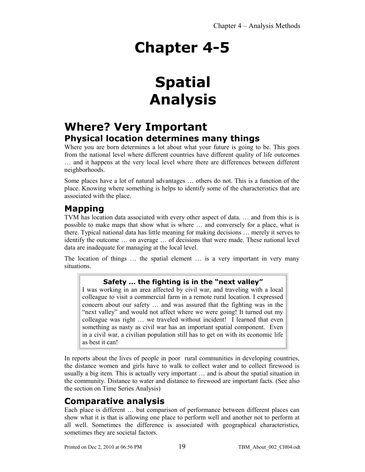# **Spatial Analysis**

## **Where? Very Important Physical location determines many things**

Where you are born determines a lot about what your future is going to be. This goes from the national level where different countries have different quality of life outcomes … and it happens at the very local level where there are differences between different neighborhoods.

Some places have a lot of natural advantages … others do not. This is a function of the place. Knowing where something is helps to identify some of the characteristics that are associated with the place.

## **Mapping**

TVM has location data associated with every other aspect of data. … and from this is is possible to make maps that show what is where … and conversely for a place, what is there. Typical national data has little meaning for making decisions … merely it serves to identify the outcome … on average … of decisions that were made. These national level data are inadequate for managing at the local level.

The location of things … the spatial element … is a very important in very many situations.

## **Safety … the fighting is in the "next valley"**

I was working in an area affected by civil war, and traveling with a local colleague to visit a commercial farm in a remote rural location. I expressed concern about our safety … and was assured that the fighting was in the "next valley" and would not affect where we were going! It turned out my colleague was right … we traveled without incident! I learned that even something as nasty as civil war has an important spatial component. Even in a civil war, a civilian population still has to get on with its economic life as best it can!

In reports about the lives of people in poor rural communities in developing countries, the distance women and girls have to walk to collect water and to collect firewood is usually a big item. This is actually very important … and is about the spatial situation in the community. Distance to water and distance to firewood are important facts. (See also the section on Time Series Analysis)

## **Comparative analysis**

Each place is different … but comparison of performance between different places can show what it is that is allowing one place to perform well and another not to perform at all well. Sometimes the difference is associated with geographical characteristics, sometimes they are societal factors.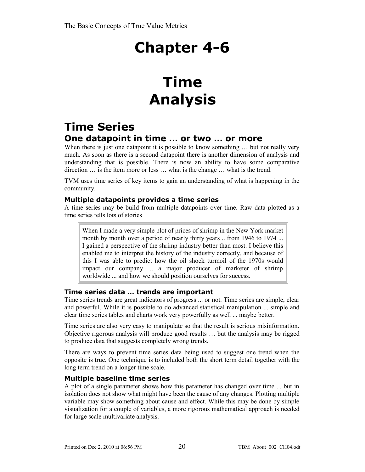# **Time Analysis**

## **Time Series One datapoint in time … or two … or more**

When there is just one datapoint it is possible to know something ... but not really very much. As soon as there is a second datapoint there is another dimension of analysis and understanding that is possible. There is now an ability to have some comparative direction … is the item more or less … what is the change … what is the trend.

TVM uses time series of key items to gain an understanding of what is happening in the community.

## **Multiple datapoints provides a time series**

A time series may be build from multiple datapoints over time. Raw data plotted as a time series tells lots of stories

When I made a very simple plot of prices of shrimp in the New York market month by month over a period of nearly thirty years .. from 1946 to 1974 ... I gained a perspective of the shrimp industry better than most. I believe this enabled me to interpret the history of the industry correctly, and because of this I was able to predict how the oil shock turmoil of the 1970s would impact our company ... a major producer of marketer of shrimp worldwide ... and how we should position ourselves for success.

## **Time series data … trends are important**

Time series trends are great indicators of progress ... or not. Time series are simple, clear and powerful. While it is possible to do advanced statistical manipulation ... simple and clear time series tables and charts work very powerfully as well ... maybe better.

Time series are also very easy to manipulate so that the result is serious misinformation. Objective rigorous analysis will produce good results … but the analysis may be rigged to produce data that suggests completely wrong trends.

There are ways to prevent time series data being used to suggest one trend when the opposite is true. One technique is to included both the short term detail together with the long term trend on a longer time scale.

## **Multiple baseline time series**

A plot of a single parameter shows how this parameter has changed over time ... but in isolation does not show what might have been the cause of any changes. Plotting multiple variable may show something about cause and effect. While this may be done by simple visualization for a couple of variables, a more rigorous mathematical approach is needed for large scale multivariate analysis.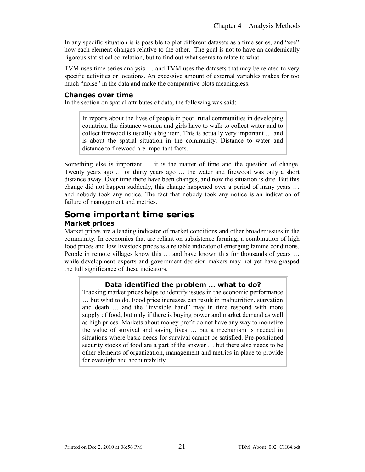In any specific situation is is possible to plot different datasets as a time series, and "see" how each element changes relative to the other. The goal is not to have an academically rigorous statistical correlation, but to find out what seems to relate to what.

TVM uses time series analysis … and TVM uses the datasets that may be related to very specific activities or locations. An excessive amount of external variables makes for too much "noise" in the data and make the comparative plots meaningless.

#### **Changes over time**

In the section on spatial attributes of data, the following was said:

In reports about the lives of people in poor rural communities in developing countries, the distance women and girls have to walk to collect water and to collect firewood is usually a big item. This is actually very important … and is about the spatial situation in the community. Distance to water and distance to firewood are important facts.

Something else is important … it is the matter of time and the question of change. Twenty years ago … or thirty years ago … the water and firewood was only a short distance away. Over time there have been changes, and now the situation is dire. But this change did not happen suddenly, this change happened over a period of many years … and nobody took any notice. The fact that nobody took any notice is an indication of failure of management and metrics.

## **Some important time series Market prices**

Market prices are a leading indicator of market conditions and other broader issues in the community. In economies that are reliant on subsistence farming, a combination of high food prices and low livestock prices is a reliable indicator of emerging famine conditions. People in remote villages know this … and have known this for thousands of years … while development experts and government decision makers may not yet have grasped the full significance of these indicators.

### **Data identified the problem … what to do?**

Tracking market prices helps to identify issues in the economic performance … but what to do. Food price increases can result in malnutrition, starvation and death … and the "invisible hand" may in time respond with more supply of food, but only if there is buying power and market demand as well as high prices. Markets about money profit do not have any way to monetize the value of survival and saving lives … but a mechanism is needed in situations where basic needs for survival cannot be satisfied. Pre-positioned security stocks of food are a part of the answer … but there also needs to be other elements of organization, management and metrics in place to provide for oversight and accountability.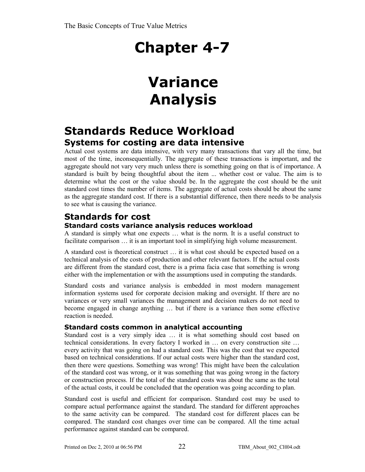# **Variance Analysis**

## **Standards Reduce Workload Systems for costing are data intensive**

Actual cost systems are data intensive, with very many transactions that vary all the time, but most of the time, inconsequentially. The aggregate of these transactions is important, and the aggregate should not vary very much unless there is something going on that is of importance. A standard is built by being thoughtful about the item ... whether cost or value. The aim is to determine what the cost or the value should be. In the aggregate the cost should be the unit standard cost times the number of items. The aggregate of actual costs should be about the same as the aggregate standard cost. If there is a substantial difference, then there needs to be analysis to see what is causing the variance.

## **Standards for cost**

## **Standard costs variance analysis reduces workload**

A standard is simply what one expects … what is the norm. It is a useful construct to facilitate comparison  $\ldots$  it is an important tool in simplifying high volume measurement.

A standard cost is theoretical construct … it is what cost should be expected based on a technical analysis of the costs of production and other relevant factors. If the actual costs are different from the standard cost, there is a prima facia case that something is wrong either with the implementation or with the assumptions used in computing the standards.

Standard costs and variance analysis is embedded in most modern management information systems used for corporate decision making and oversight. If there are no variances or very small variances the management and decision makers do not need to become engaged in change anything … but if there is a variance then some effective reaction is needed.

## **Standard costs common in analytical accounting**

Standard cost is a very simply idea … it is what something should cost based on technical considerations. In every factory I worked in … on every construction site … every activity that was going on had a standard cost. This was the cost that we expected based on technical considerations. If our actual costs were higher than the standard cost, then there were questions. Something was wrong! This might have been the calculation of the standard cost was wrong, or it was something that was going wrong in the factory or construction process. If the total of the standard costs was about the same as the total of the actual costs, it could be concluded that the operation was going according to plan.

Standard cost is useful and efficient for comparison. Standard cost may be used to compare actual performance against the standard. The standard for different approaches to the same activity can be compared. The standard cost for different places can be compared. The standard cost changes over time can be compared. All the time actual performance against standard can be compared.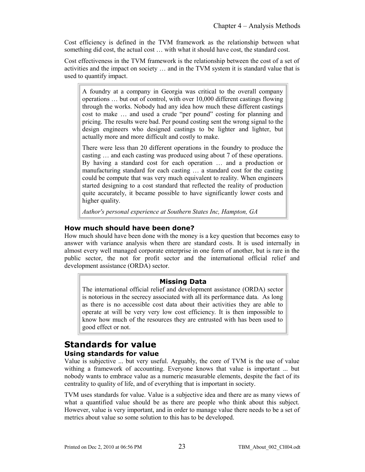Cost efficiency is defined in the TVM framework as the relationship between what something did cost, the actual cost … with what it should have cost, the standard cost.

Cost effectiveness in the TVM framework is the relationship between the cost of a set of activities and the impact on society … and in the TVM system it is standard value that is used to quantify impact.

A foundry at a company in Georgia was critical to the overall company operations … but out of control, with over 10,000 different castings flowing through the works. Nobody had any idea how much these different castings cost to make … and used a crude "per pound" costing for planning and pricing. The results were bad. Per pound costing sent the wrong signal to the design engineers who designed castings to be lighter and lighter, but actually more and more difficult and costly to make.

There were less than 20 different operations in the foundry to produce the casting … and each casting was produced using about 7 of these operations. By having a standard cost for each operation … and a production or manufacturing standard for each casting … a standard cost for the casting could be compute that was very much equivalent to reality. When engineers started designing to a cost standard that reflected the reality of production quite accurately, it became possible to have significantly lower costs and higher quality.

*Author's personal experience at Southern States Inc, Hampton, GA*

## **How much should have been done?**

How much should have been done with the money is a key question that becomes easy to answer with variance analysis when there are standard costs. It is used internally in almost every well managed corporate enterprise in one form of another, but is rare in the public sector, the not for profit sector and the international official relief and development assistance (ORDA) sector.

### **Missing Data**

The international official relief and development assistance (ORDA) sector is notorious in the secrecy associated with all its performance data. As long as there is no accessible cost data about their activities they are able to operate at will be very very low cost efficiency. It is then impossible to know how much of the resources they are entrusted with has been used to good effect or not.

## **Standards for value**

## **Using standards for value**

Value is subjective ... but very useful. Arguably, the core of TVM is the use of value withing a framework of accounting. Everyone knows that value is important ... but nobody wants to embrace value as a numeric measurable elements, despite the fact of its centrality to quality of life, and of everything that is important in society.

TVM uses standards for value. Value is a subjective idea and there are as many views of what a quantified value should be as there are people who think about this subject. However, value is very important, and in order to manage value there needs to be a set of metrics about value so some solution to this has to be developed.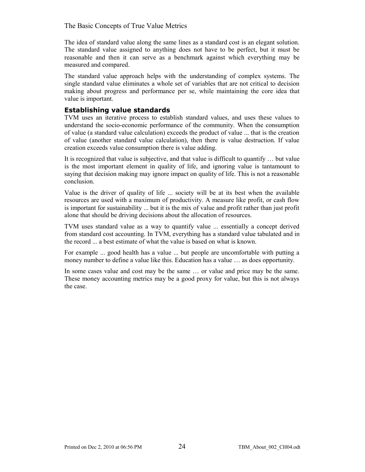The idea of standard value along the same lines as a standard cost is an elegant solution. The standard value assigned to anything does not have to be perfect, but it must be reasonable and then it can serve as a benchmark against which everything may be measured and compared.

The standard value approach helps with the understanding of complex systems. The single standard value eliminates a whole set of variables that are not critical to decision making about progress and performance per se, while maintaining the core idea that value is important.

### **Establishing value standards**

TVM uses an iterative process to establish standard values, and uses these values to understand the socio-economic performance of the community. When the consumption of value (a standard value calculation) exceeds the product of value ... that is the creation of value (another standard value calculation), then there is value destruction. If value creation exceeds value consumption there is value adding.

It is recognized that value is subjective, and that value is difficult to quantify … but value is the most important element in quality of life, and ignoring value is tantamount to saying that decision making may ignore impact on quality of life. This is not a reasonable conclusion.

Value is the driver of quality of life ... society will be at its best when the available resources are used with a maximum of productivity. A measure like profit, or cash flow is important for sustainability ... but it is the mix of value and profit rather than just profit alone that should be driving decisions about the allocation of resources.

TVM uses standard value as a way to quantify value ... essentially a concept derived from standard cost accounting. In TVM, everything has a standard value tabulated and in the record ... a best estimate of what the value is based on what is known.

For example ... good health has a value ... but people are uncomfortable with putting a money number to define a value like this. Education has a value … as does opportunity.

In some cases value and cost may be the same … or value and price may be the same. These money accounting metrics may be a good proxy for value, but this is not always the case.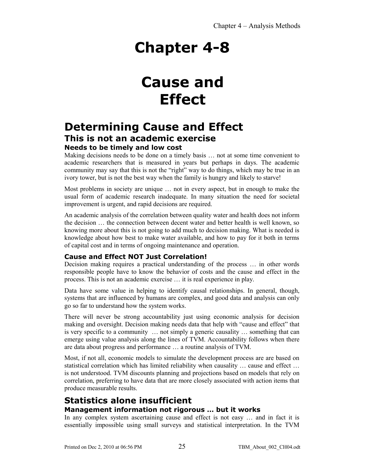## **Cause and Effect**

## **Determining Cause and Effect This is not an academic exercise Needs to be timely and low cost**

Making decisions needs to be done on a timely basis … not at some time convenient to academic researchers that is measured in years but perhaps in days. The academic community may say that this is not the "right" way to do things, which may be true in an ivory tower, but is not the best way when the family is hungry and likely to starve!

Most problems in society are unique … not in every aspect, but in enough to make the usual form of academic research inadequate. In many situation the need for societal improvement is urgent, and rapid decisions are required.

An academic analysis of the correlation between quality water and health does not inform the decision … the connection between decent water and better health is well known, so knowing more about this is not going to add much to decision making. What is needed is knowledge about how best to make water available, and how to pay for it both in terms of capital cost and in terms of ongoing maintenance and operation.

## **Cause and Effect NOT Just Correlation!**

Decision making requires a practical understanding of the process … in other words responsible people have to know the behavior of costs and the cause and effect in the process. This is not an academic exercise … it is real experience in play.

Data have some value in helping to identify causal relationships. In general, though, systems that are influenced by humans are complex, and good data and analysis can only go so far to understand how the system works.

There will never be strong accountability just using economic analysis for decision making and oversight. Decision making needs data that help with "cause and effect" that is very specific to a community … not simply a generic causality … something that can emerge using value analysis along the lines of TVM. Accountability follows when there are data about progress and performance … a routine analysis of TVM.

Most, if not all, economic models to simulate the development process are are based on statistical correlation which has limited reliability when causality … cause and effect … is not understood. TVM discounts planning and projections based on models that rely on correlation, preferring to have data that are more closely associated with action items that produce measurable results.

## **Statistics alone insufficient Management information not rigorous … but it works**

In any complex system ascertaining cause and effect is not easy … and in fact it is essentially impossible using small surveys and statistical interpretation. In the TVM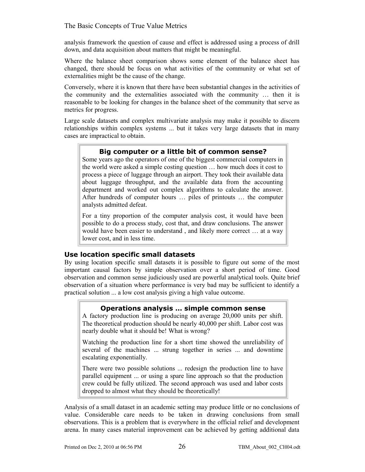analysis framework the question of cause and effect is addressed using a process of drill down, and data acquisition about matters that might be meaningful.

Where the balance sheet comparison shows some element of the balance sheet has changed, there should be focus on what activities of the community or what set of externalities might be the cause of the change.

Conversely, where it is known that there have been substantial changes in the activities of the community and the externalities associated with the community … then it is reasonable to be looking for changes in the balance sheet of the community that serve as metrics for progress.

Large scale datasets and complex multivariate analysis may make it possible to discern relationships within complex systems ... but it takes very large datasets that in many cases are impractical to obtain.

### **Big computer or a little bit of common sense?**

Some years ago the operators of one of the biggest commercial computers in the world were asked a simple costing question … how much does it cost to process a piece of luggage through an airport. They took their available data about luggage throughput, and the available data from the accounting department and worked out complex algorithms to calculate the answer. After hundreds of computer hours … piles of printouts … the computer analysts admitted defeat.

For a tiny proportion of the computer analysis cost, it would have been possible to do a process study, cost that, and draw conclusions. The answer would have been easier to understand , and likely more correct … at a way lower cost, and in less time.

### **Use location specific small datasets**

By using location specific small datasets it is possible to figure out some of the most important causal factors by simple observation over a short period of time. Good observation and common sense judiciously used are powerful analytical tools. Quite brief observation of a situation where performance is very bad may be sufficient to identify a practical solution ... a low cost analysis giving a high value outcome.

## **Operations analysis … simple common sense**

A factory production line is producing on average 20,000 units per shift. The theoretical production should be nearly 40,000 per shift. Labor cost was nearly double what it should be! What is wrong?

Watching the production line for a short time showed the unreliability of several of the machines ... strung together in series ... and downtime escalating exponentially.

There were two possible solutions ... redesign the production line to have parallel equipment ... or using a spare line approach so that the production crew could be fully utilized. The second approach was used and labor costs dropped to almost what they should be theoretically!

Analysis of a small dataset in an academic setting may produce little or no conclusions of value. Considerable care needs to be taken in drawing conclusions from small observations. This is a problem that is everywhere in the official relief and development arena. In many cases material improvement can be achieved by getting additional data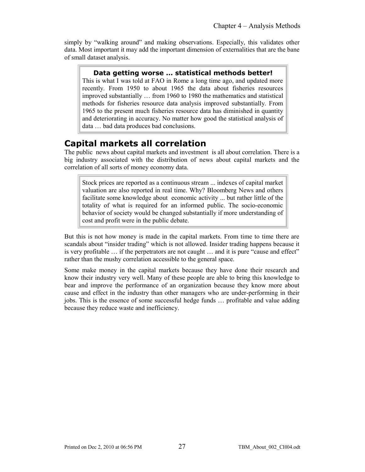simply by "walking around" and making observations. Especially, this validates other data. Most important it may add the important dimension of externalities that are the bane of small dataset analysis.

## **Data getting worse … statistical methods better!**

This is what I was told at FAO in Rome a long time ago, and updated more recently. From 1950 to about 1965 the data about fisheries resources improved substantially … from 1960 to 1980 the mathematics and statistical methods for fisheries resource data analysis improved substantially. From 1965 to the present much fisheries resource data has diminished in quantity and deteriorating in accuracy. No matter how good the statistical analysis of data … bad data produces bad conclusions.

## **Capital markets all correlation**

The public news about capital markets and investment is all about correlation. There is a big industry associated with the distribution of news about capital markets and the correlation of all sorts of money economy data.

Stock prices are reported as a continuous stream ... indexes of capital market valuation are also reported in real time. Why? Bloomberg News and others facilitate some knowledge about economic activity ... but rather little of the totality of what is required for an informed public. The socio-economic behavior of society would be changed substantially if more understanding of cost and profit were in the public debate.

But this is not how money is made in the capital markets. From time to time there are scandals about "insider trading" which is not allowed. Insider trading happens because it is very profitable … if the perpetrators are not caught … and it is pure "cause and effect" rather than the mushy correlation accessible to the general space.

Some make money in the capital markets because they have done their research and know their industry very well. Many of these people are able to bring this knowledge to bear and improve the performance of an organization because they know more about cause and effect in the industry than other managers who are under-performing in their jobs. This is the essence of some successful hedge funds … profitable and value adding because they reduce waste and inefficiency.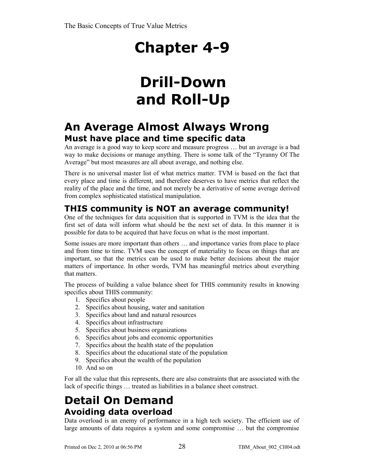# **Drill-Down and Roll-Up**

## **An Average Almost Always Wrong Must have place and time specific data**

An average is a good way to keep score and measure progress … but an average is a bad way to make decisions or manage anything. There is some talk of the "Tyranny Of The Average" but most measures are all about average, and nothing else.

There is no universal master list of what metrics matter. TVM is based on the fact that every place and time is different, and therefore deserves to have metrics that reflect the reality of the place and the time, and not merely be a derivative of some average derived from complex sophisticated statistical manipulation.

## **THIS community is NOT an average community!**

One of the techniques for data acquisition that is supported in TVM is the idea that the first set of data will inform what should be the next set of data. In this manner it is possible for data to be acquired that have focus on what is the most important.

Some issues are more important than others … and importance varies from place to place and from time to time. TVM uses the concept of materiality to focus on things that are important, so that the metrics can be used to make better decisions about the major matters of importance. In other words, TVM has meaningful metrics about everything that matters.

The process of building a value balance sheet for THIS community results in knowing specifics about THIS community:

- 1. Specifics about people
- 2. Specifics about housing, water and sanitation
- 3. Specifics about land and natural resources
- 4. Specifics about infrastructure
- 5. Specifics about business organizations
- 6. Specifics about jobs and economic opportunities
- 7. Specifics about the health state of the population
- 8. Specifics about the educational state of the population
- 9. Specifics about the wealth of the population
- 10. And so on

For all the value that this represents, there are also constraints that are associated with the lack of specific things … treated as liabilities in a balance sheet construct.

## **Detail On Demand Avoiding data overload**

Data overload is an enemy of performance in a high tech society. The efficient use of large amounts of data requires a system and some compromise … but the compromise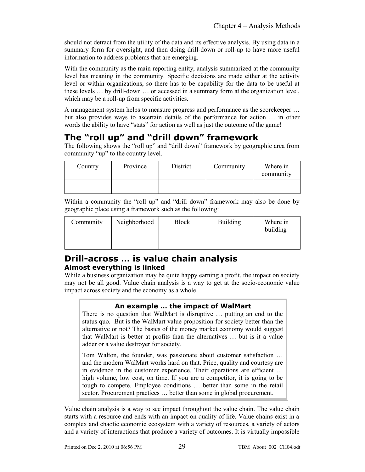should not detract from the utility of the data and its effective analysis. By using data in a summary form for oversight, and then doing drill-down or roll-up to have more useful information to address problems that are emerging.

With the community as the main reporting entity, analysis summarized at the community level has meaning in the community. Specific decisions are made either at the activity level or within organizations, so there has to be capability for the data to be useful at these levels … by drill-down … or accessed in a summary form at the organization level, which may be a roll-up from specific activities.

A management system helps to measure progress and performance as the scorekeeper … but also provides ways to ascertain details of the performance for action … in other words the ability to have "stats" for action as well as just the outcome of the game!

## **The "roll up" and "drill down" framework**

The following shows the "roll up" and "drill down" framework by geographic area from community "up" to the country level.

| Country | Province | District | Community | Where in<br>community |
|---------|----------|----------|-----------|-----------------------|
|         |          |          |           |                       |

Within a community the "roll up" and "drill down" framework may also be done by geographic place using a framework such as the following:

| Community | Neighborhood | Block | <b>Building</b> | Where in<br>building |
|-----------|--------------|-------|-----------------|----------------------|
|           |              |       |                 |                      |

## **Drill-across … is value chain analysis Almost everything is linked**

While a business organization may be quite happy earning a profit, the impact on society may not be all good. Value chain analysis is a way to get at the socio-economic value impact across society and the economy as a whole.

## **An example … the impact of WalMart**

There is no question that WalMart is disruptive … putting an end to the status quo. But is the WalMart value proposition for society better than the alternative or not? The basics of the money market economy would suggest that WalMart is better at profits than the alternatives … but is it a value adder or a value destroyer for society.

Tom Walton, the founder, was passionate about customer satisfaction … and the modern WalMart works hard on that. Price, quality and courtesy are in evidence in the customer experience. Their operations are efficient … high volume, low cost, on time. If you are a competitor, it is going to be tough to compete. Employee conditions … better than some in the retail sector. Procurement practices … better than some in global procurement.

Value chain analysis is a way to see impact throughout the value chain. The value chain starts with a resource and ends with an impact on quality of life. Value chains exist in a complex and chaotic economic ecosystem with a variety of resources, a variety of actors and a variety of interactions that produce a variety of outcomes. It is virtually impossible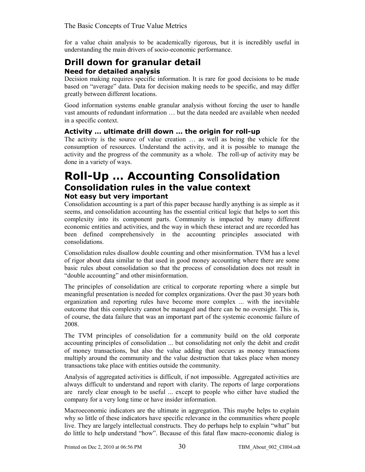for a value chain analysis to be academically rigorous, but it is incredibly useful in understanding the main drivers of socio-economic performance.

## **Drill down for granular detail Need for detailed analysis**

Decision making requires specific information. It is rare for good decisions to be made based on "average" data. Data for decision making needs to be specific, and may differ greatly between different locations.

Good information systems enable granular analysis without forcing the user to handle vast amounts of redundant information … but the data needed are available when needed in a specific context.

## **Activity … ultimate drill down … the origin for roll-up**

The activity is the source of value creation … as well as being the vehicle for the consumption of resources. Understand the activity, and it is possible to manage the activity and the progress of the community as a whole. The roll-up of activity may be done in a variety of ways.

## **Roll-Up … Accounting Consolidation Consolidation rules in the value context Not easy but very important**

Consolidation accounting is a part of this paper because hardly anything is as simple as it seems, and consolidation accounting has the essential critical logic that helps to sort this complexity into its component parts. Community is impacted by many different economic entities and activities, and the way in which these interact and are recorded has been defined comprehensively in the accounting principles associated with consolidations.

Consolidation rules disallow double counting and other misinformation. TVM has a level of rigor about data similar to that used in good money accounting where there are some basic rules about consolidation so that the process of consolidation does not result in "double accounting" and other misinformation.

The principles of consolidation are critical to corporate reporting where a simple but meaningful presentation is needed for complex organizations. Over the past 30 years both organization and reporting rules have become more complex ... with the inevitable outcome that this complexity cannot be managed and there can be no oversight. This is, of course, the data failure that was an important part of the systemic economic failure of 2008.

The TVM principles of consolidation for a community build on the old corporate accounting principles of consolidation ... but consolidating not only the debit and credit of money transactions, but also the value adding that occurs as money transactions multiply around the community and the value destruction that takes place when money transactions take place with entities outside the community.

Analysis of aggregated activities is difficult, if not impossible. Aggregated activities are always difficult to understand and report with clarity. The reports of large corporations are rarely clear enough to be useful ... except to people who either have studied the company for a very long time or have insider information.

Macroeconomic indicators are the ultimate in aggregation. This maybe helps to explain why so little of these indicators have specific relevance in the communities where people live. They are largely intellectual constructs. They do perhaps help to explain "what" but do little to help understand "how". Because of this fatal flaw macro-economic dialog is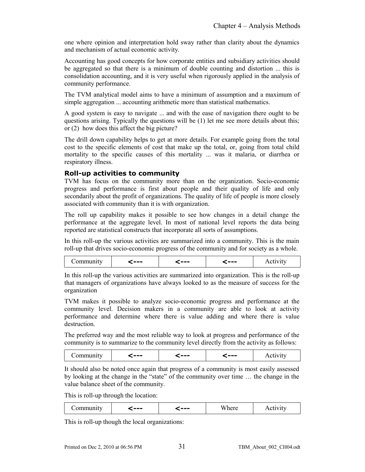one where opinion and interpretation hold sway rather than clarity about the dynamics and mechanism of actual economic activity.

Accounting has good concepts for how corporate entities and subsidiary activities should be aggregated so that there is a minimum of double counting and distortion ... this is consolidation accounting, and it is very useful when rigorously applied in the analysis of community performance.

The TVM analytical model aims to have a minimum of assumption and a maximum of simple aggregation ... accounting arithmetic more than statistical mathematics.

A good system is easy to navigate ... and with the ease of navigation there ought to be questions arising. Typically the questions will be (1) let me see more details about this; or (2) how does this affect the big picture?

The drill down capability helps to get at more details. For example going from the total cost to the specific elements of cost that make up the total, or, going from total child mortality to the specific causes of this mortality ... was it malaria, or diarrhea or respiratory illness.

## **Roll-up activities to community**

TVM has focus on the community more than on the organization. Socio-economic progress and performance is first about people and their quality of life and only secondarily about the profit of organizations. The quality of life of people is more closely associated with community than it is with organization.

The roll up capability makes it possible to see how changes in a detail change the performance at the aggregate level. In most of national level reports the data being reported are statistical constructs that incorporate all sorts of assumptions.

In this roll-up the various activities are summarized into a community. This is the main roll-up that drives socio-economic progress of the community and for society as a whole.

| --- | --- | --- |  |
|-----|-----|-----|--|
|-----|-----|-----|--|

In this roll-up the various activities are summarized into organization. This is the roll-up that managers of organizations have always looked to as the measure of success for the organization

TVM makes it possible to analyze socio-economic progress and performance at the community level. Decision makers in a community are able to look at activity performance and determine where there is value adding and where there is value destruction.

The preferred way and the most reliable way to look at progress and performance of the community is to summarize to the community level directly from the activity as follows:

|  | --- | --- | --- |  |
|--|-----|-----|-----|--|
|--|-----|-----|-----|--|

It should also be noted once again that progress of a community is most easily assessed by looking at the change in the "state" of the community over time … the change in the value balance sheet of the community.

This is roll-up through the location:

| ---- | --- | W | 1.19117 |  |
|------|-----|---|---------|--|
|      |     |   |         |  |

This is roll-up though the local organizations: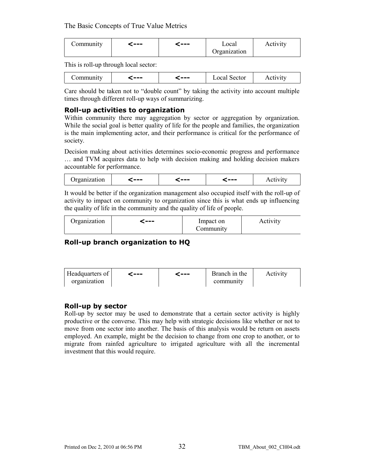| Community | ---- | --- | Local        | Activity |
|-----------|------|-----|--------------|----------|
|           |      |     | Organization |          |

This is roll-up through local sector:

|  | --- | --- | Sector<br>∟ocal ' | 1100111 |
|--|-----|-----|-------------------|---------|
|--|-----|-----|-------------------|---------|

Care should be taken not to "double count" by taking the activity into account multiple times through different roll-up ways of summarizing.

### **Roll-up activities to organization**

Within community there may aggregation by sector or aggregation by organization. While the social goal is better quality of life for the people and families, the organization is the main implementing actor, and their performance is critical for the performance of society.

Decision making about activities determines socio-economic progress and performance … and TVM acquires data to help with decision making and holding decision makers accountable for performance.

| rganization | --- | --- | --- | $1$ such via |
|-------------|-----|-----|-----|--------------|
|-------------|-----|-----|-----|--------------|

It would be better if the organization management also occupied itself with the roll-up of activity to impact on community to organization since this is what ends up influencing the quality of life in the community and the quality of life of people.

| Organization | ---- | Impact on | Activity |
|--------------|------|-----------|----------|
|              |      | Community |          |

## **Roll-up branch organization to HQ**

| Headquarters of | c --- | c--- | Branch in the | Activity |
|-----------------|-------|------|---------------|----------|
| organization    |       |      | community     |          |

### **Roll-up by sector**

Roll-up by sector may be used to demonstrate that a certain sector activity is highly productive or the converse. This may help with strategic decisions like whether or not to move from one sector into another. The basis of this analysis would be return on assets employed. An example, might be the decision to change from one crop to another, or to migrate from rainfed agriculture to irrigated agriculture with all the incremental investment that this would require.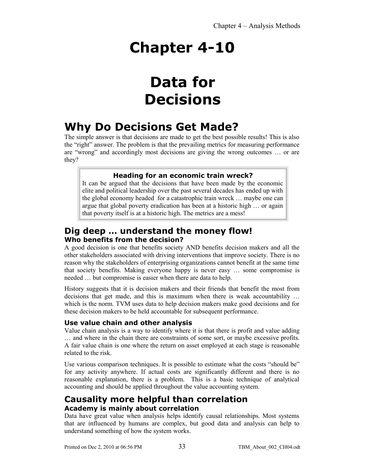# **Data for Decisions**

## **Why Do Decisions Get Made?**

The simple answer is that decisions are made to get the best possible results! This is also the "right" answer. The problem is that the prevailing metrics for measuring performance are "wrong" and accordingly most decisions are giving the wrong outcomes … or are they?

## **Heading for an economic train wreck?**

It can be argued that the decisions that have been made by the economic elite and political leadership over the past several decades has ended up with the global economy headed for a catastrophic train wreck … maybe one can argue that global poverty eradication has been at a historic high … or again that poverty itself is at a historic high. The metrics are a mess!

## **Dig deep … understand the money flow! Who benefits from the decision?**

A good decision is one that benefits society AND benefits decision makers and all the other stakeholders associated with driving interventions that improve society. There is no reason why the stakeholders of enterprising organizations cannot benefit at the same time that society benefits. Making everyone happy is never easy … some compromise is needed … but compromise is easier when there are data to help.

History suggests that it is decision makers and their friends that benefit the most from decisions that get made, and this is maximum when there is weak accountability … which is the norm. TVM uses data to help decision makers make good decisions and for these decision makers to be held accountable for subsequent performance.

## **Use value chain and other analysis**

Value chain analysis is a way to identify where it is that there is profit and value adding … and where in the chain there are constraints of some sort, or maybe excessive profits. A fair value chain is one where the return on asset employed at each stage is reasonable related to the risk.

Use various comparison techniques. It is possible to estimate what the costs "should be" for any activity anywhere. If actual costs are significantly different and there is no reasonable explanation, there is a problem. This is a basic technique of analytical accounting and should be applied throughout the value accounting system.

## **Causality more helpful than correlation Academy is mainly about correlation**

Data have great value when analysis helps identify causal relationships. Most systems that are influenced by humans are complex, but good data and analysis can help to understand something of how the system works.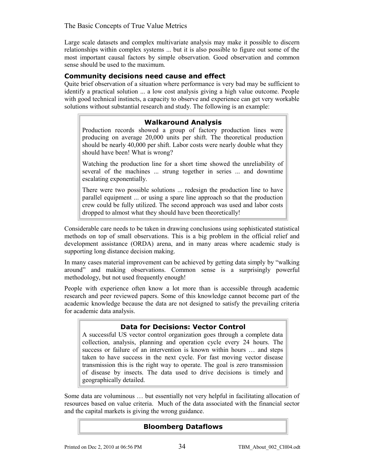Large scale datasets and complex multivariate analysis may make it possible to discern relationships within complex systems ... but it is also possible to figure out some of the most important causal factors by simple observation. Good observation and common sense should be used to the maximum.

### **Community decisions need cause and effect**

Quite brief observation of a situation where performance is very bad may be sufficient to identify a practical solution ... a low cost analysis giving a high value outcome. People with good technical instincts, a capacity to observe and experience can get very workable solutions without substantial research and study. The following is an example:

### **Walkaround Analysis**

Production records showed a group of factory production lines were producing on average 20,000 units per shift. The theoretical production should be nearly 40,000 per shift. Labor costs were nearly double what they should have been! What is wrong?

Watching the production line for a short time showed the unreliability of several of the machines ... strung together in series ... and downtime escalating exponentially.

There were two possible solutions ... redesign the production line to have parallel equipment ... or using a spare line approach so that the production crew could be fully utilized. The second approach was used and labor costs dropped to almost what they should have been theoretically!

Considerable care needs to be taken in drawing conclusions using sophisticated statistical methods on top of small observations. This is a big problem in the official relief and development assistance (ORDA) arena, and in many areas where academic study is supporting long distance decision making.

In many cases material improvement can be achieved by getting data simply by "walking around" and making observations. Common sense is a surprisingly powerful methodology, but not used frequently enough!

People with experience often know a lot more than is accessible through academic research and peer reviewed papers. Some of this knowledge cannot become part of the academic knowledge because the data are not designed to satisfy the prevailing criteria for academic data analysis.

#### **Data for Decisions: Vector Control**

A successful US vector control organization goes through a complete data collection, analysis, planning and operation cycle every 24 hours. The success or failure of an intervention is known within hours … and steps taken to have success in the next cycle. For fast moving vector disease transmission this is the right way to operate. The goal is zero transmission of disease by insects. The data used to drive decisions is timely and geographically detailed.

Some data are voluminous … but essentially not very helpful in facilitating allocation of resources based on value criteria. Much of the data associated with the financial sector and the capital markets is giving the wrong guidance.

### **Bloomberg Dataflows**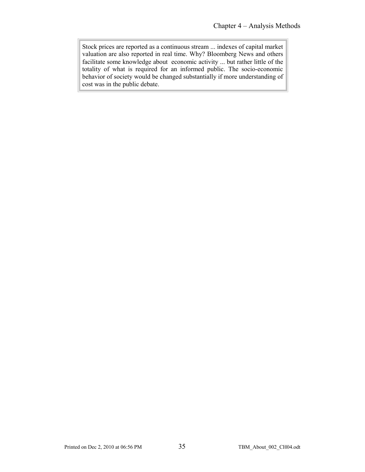Stock prices are reported as a continuous stream ... indexes of capital market valuation are also reported in real time. Why? Bloomberg News and others facilitate some knowledge about economic activity ... but rather little of the totality of what is required for an informed public. The socio-economic behavior of society would be changed substantially if more understanding of cost was in the public debate.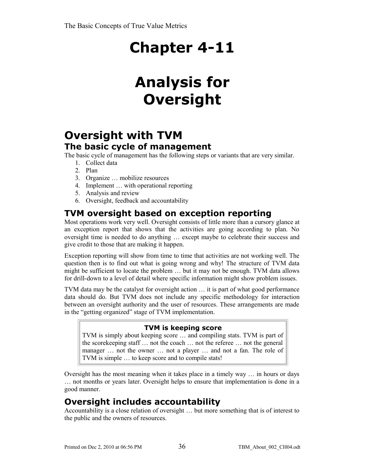# **Analysis for Oversight**

## **Oversight with TVM The basic cycle of management**

The basic cycle of management has the following steps or variants that are very similar.

- 1. Collect data
- 2. Plan
- 3. Organize … mobilize resources
- 4. Implement … with operational reporting
- 5. Analysis and review
- 6. Oversight, feedback and accountability

## **TVM oversight based on exception reporting**

Most operations work very well. Oversight consists of little more than a cursory glance at an exception report that shows that the activities are going according to plan. No oversight time is needed to do anything … except maybe to celebrate their success and give credit to those that are making it happen.

Exception reporting will show from time to time that activities are not working well. The question then is to find out what is going wrong and why! The structure of TVM data might be sufficient to locate the problem … but it may not be enough. TVM data allows for drill-down to a level of detail where specific information might show problem issues.

TVM data may be the catalyst for oversight action … it is part of what good performance data should do. But TVM does not include any specific methodology for interaction between an oversight authority and the user of resources. These arrangements are made in the "getting organized" stage of TVM implementation.

## **TVM is keeping score**

TVM is simply about keeping score … and compiling stats. TVM is part of the scorekeeping staff … not the coach … not the referee … not the general manager … not the owner … not a player … and not a fan. The role of TVM is simple … to keep score and to compile stats!

Oversight has the most meaning when it takes place in a timely way … in hours or days … not months or years later. Oversight helps to ensure that implementation is done in a good manner.

## **Oversight includes accountability**

Accountability is a close relation of oversight … but more something that is of interest to the public and the owners of resources.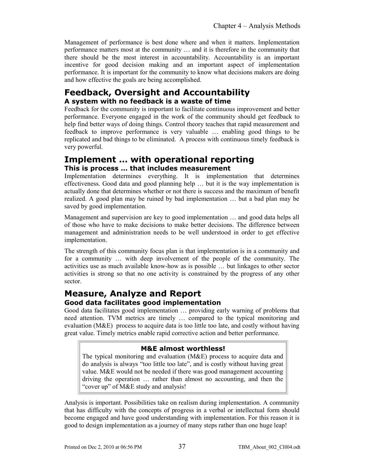Management of performance is best done where and when it matters. Implementation performance matters most at the community … and it is therefore in the community that there should be the most interest in accountability. Accountability is an important incentive for good decision making and an important aspect of implementation performance. It is important for the community to know what decisions makers are doing and how effective the goals are being accomplished.

## **Feedback, Oversight and Accountability A system with no feedback is a waste of time**

Feedback for the community is important to facilitate continuous improvement and better performance. Everyone engaged in the work of the community should get feedback to help find better ways of doing things. Control theory teaches that rapid measurement and feedback to improve performance is very valuable … enabling good things to be replicated and bad things to be eliminated. A process with continuous timely feedback is very powerful.

## **Implement … with operational reporting This is process … that includes measurement**

Implementation determines everything. It is implementation that determines effectiveness. Good data and good planning help … but it is the way implementation is actually done that determines whether or not there is success and the maximum of benefit realized. A good plan may be ruined by bad implementation … but a bad plan may be saved by good implementation.

Management and supervision are key to good implementation … and good data helps all of those who have to make decisions to make better decisions. The difference between management and administration needs to be well understood in order to get effective implementation.

The strength of this community focus plan is that implementation is in a community and for a community … with deep involvement of the people of the community. The activities use as much available know-how as is possible … but linkages to other sector activities is strong so that no one activity is constrained by the progress of any other sector.

## **Measure, Analyze and Report Good data facilitates good implementation**

Good data facilitates good implementation … providing early warning of problems that need attention. TVM metrics are timely … compared to the typical monitoring and evaluation (M&E) process to acquire data is too little too late, and costly without having great value. Timely metrics enable rapid corrective action and better performance.

## **M&E almost worthless!**

The typical monitoring and evaluation (M&E) process to acquire data and do analysis is always "too little too late", and is costly without having great value. M&E would not be needed if there was good management accounting driving the operation … rather than almost no accounting, and then the "cover up" of M&E study and analysis!

Analysis is important. Possibilities take on realism during implementation. A community that has difficulty with the concepts of progress in a verbal or intellectual form should become engaged and have good understanding with implementation. For this reason it is good to design implementation as a journey of many steps rather than one huge leap!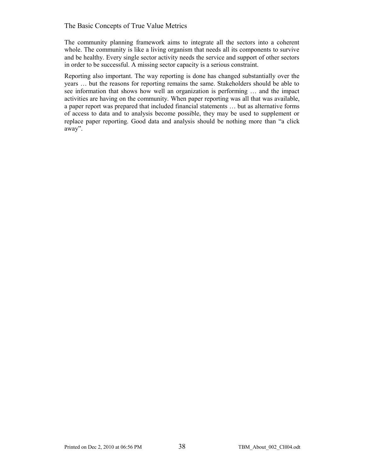The community planning framework aims to integrate all the sectors into a coherent whole. The community is like a living organism that needs all its components to survive and be healthy. Every single sector activity needs the service and support of other sectors in order to be successful. A missing sector capacity is a serious constraint.

Reporting also important. The way reporting is done has changed substantially over the years … but the reasons for reporting remains the same. Stakeholders should be able to see information that shows how well an organization is performing … and the impact activities are having on the community. When paper reporting was all that was available, a paper report was prepared that included financial statements … but as alternative forms of access to data and to analysis become possible, they may be used to supplement or replace paper reporting. Good data and analysis should be nothing more than "a click away".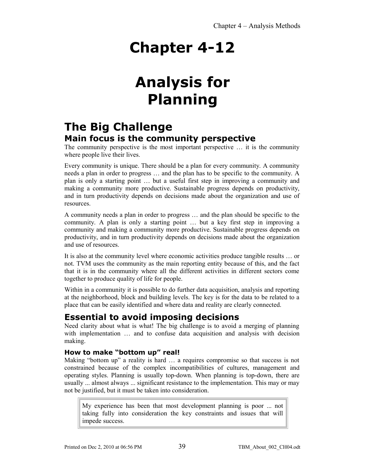# **Analysis for Planning**

## **The Big Challenge Main focus is the community perspective**

The community perspective is the most important perspective … it is the community where people live their lives.

Every community is unique. There should be a plan for every community. A community needs a plan in order to progress … and the plan has to be specific to the community. A plan is only a starting point … but a useful first step in improving a community and making a community more productive. Sustainable progress depends on productivity, and in turn productivity depends on decisions made about the organization and use of resources.

A community needs a plan in order to progress … and the plan should be specific to the community. A plan is only a starting point … but a key first step in improving a community and making a community more productive. Sustainable progress depends on productivity, and in turn productivity depends on decisions made about the organization and use of resources.

It is also at the community level where economic activities produce tangible results … or not. TVM uses the community as the main reporting entity because of this, and the fact that it is in the community where all the different activities in different sectors come together to produce quality of life for people.

Within in a community it is possible to do further data acquisition, analysis and reporting at the neighborhood, block and building levels. The key is for the data to be related to a place that can be easily identified and where data and reality are clearly connected.

## **Essential to avoid imposing decisions**

Need clarity about what is what! The big challenge is to avoid a merging of planning with implementation … and to confuse data acquisition and analysis with decision making.

## **How to make "bottom up" real!**

Making "bottom up" a reality is hard … a requires compromise so that success is not constrained because of the complex incompatibilities of cultures, management and operating styles. Planning is usually top-down. When planning is top-down, there are usually ... almost always ... significant resistance to the implementation. This may or may not be justified, but it must be taken into consideration.

My experience has been that most development planning is poor ... not taking fully into consideration the key constraints and issues that will impede success.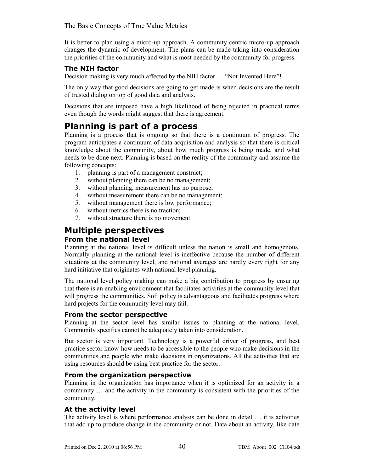It is better to plan using a micro-up approach. A community centric micro-up approach changes the dynamic of development. The plans can be made taking into consideration the priorities of the community and what is most needed by the community for progress.

## **The NIH factor**

Decision making is very much affected by the NIH factor … "Not Invented Here"!

The only way that good decisions are going to get made is when decisions are the result of trusted dialog on top of good data and analysis.

Decisions that are imposed have a high likelihood of being rejected in practical terms even though the words might suggest that there is agreement.

## **Planning is part of a process**

Planning is a process that is ongoing so that there is a continuum of progress. The program anticipates a continuum of data acquisition and analysis so that there is critical knowledge about the community, about how much progress is being made, and what needs to be done next. Planning is based on the reality of the community and assume the following concepts:

- 1. planning is part of a management construct;
- 2. without planning there can be no management;
- 3. without planning, measurement has no purpose;
- 4. without measurement there can be no management;
- 5. without management there is low performance;
- 6. without metrics there is no traction;
- 7. without structure there is no movement.

## **Multiple perspectives**

## **From the national level**

Planning at the national level is difficult unless the nation is small and homogenous. Normally planning at the national level is ineffective because the number of different situations at the community level, and national averages are hardly every right for any hard initiative that originates with national level planning.

The national level policy making can make a big contribution to progress by ensuring that there is an enabling environment that facilitates activities at the community level that will progress the communities. Soft policy is advantageous and facilitates progress where hard projects for the community level may fail.

### **From the sector perspective**

Planning at the sector level has similar issues to planning at the national level. Community specifics cannot be adequately taken into consideration.

But sector is very important. Technology is a powerful driver of progress, and best practice sector know-how needs to be accessible to the people who make decisions in the communities and people who make decisions in organizations. All the activities that are using resources should be using best practice for the sector.

### **From the organization perspective**

Planning in the organization has importance when it is optimized for an activity in a community … and the activity in the community is consistent with the priorities of the community.

## **At the activity level**

The activity level is where performance analysis can be done in detail … it is activities that add up to produce change in the community or not. Data about an activity, like date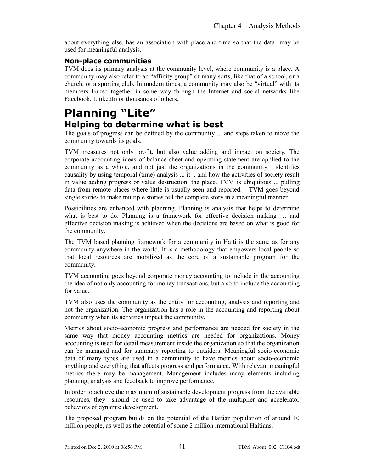about everything else, has an association with place and time so that the data may be used for meaningful analysis.

## **Non-place communities**

TVM does its primary analysis at the community level, where community is a place. A community may also refer to an "affinity group" of many sorts, like that of a school, or a church, or a sporting club. In modern times, a community may also be "virtual" with its members linked together in some way through the Internet and social networks like Facebook, LinkedIn or thousands of others.

## **Planning "Lite" Helping to determine what is best**

The goals of progress can be defined by the community ... and steps taken to move the community towards its goals.

TVM measures not only profit, but also value adding and impact on society. The corporate accounting ideas of balance sheet and operating statement are applied to the community as a whole, and not just the organizations in the community. identifies causality by using temporal (time) analysis  $\ldots$  it, and how the activities of society result in value adding progress or value destruction. the place. TVM is ubiquitous ... pulling data from remote places where little is usually seen and reported. TVM goes beyond single stories to make multiple stories tell the complete story in a meaningful manner.

Possibilities are enhanced with planning. Planning is analysis that helps to determine what is best to do. Planning is a framework for effective decision making … and effective decision making is achieved when the decisions are based on what is good for the community.

The TVM based planning framework for a community in Haiti is the same as for any community anywhere in the world. It is a methodology that empowers local people so that local resources are mobilized as the core of a sustainable program for the community.

TVM accounting goes beyond corporate money accounting to include in the accounting the idea of not only accounting for money transactions, but also to include the accounting for value.

TVM also uses the community as the entity for accounting, analysis and reporting and not the organization. The organization has a role in the accounting and reporting about community when its activities impact the community.

Metrics about socio-economic progress and performance are needed for society in the same way that money accounting metrics are needed for organizations. Money accounting is used for detail measurement inside the organization so that the organization can be managed and for summary reporting to outsiders. Meaningful socio-economic data of many types are used in a community to have metrics about socio-economic anything and everything that affects progress and performance. With relevant meaningful metrics there may be management. Management includes many elements including planning, analysis and feedback to improve performance.

In order to achieve the maximum of sustainable development progress from the available resources, they should be used to take advantage of the multiplier and accelerator behaviors of dynamic development.

The proposed program builds on the potential of the Haitian population of around 10 million people, as well as the potential of some 2 million international Haitians.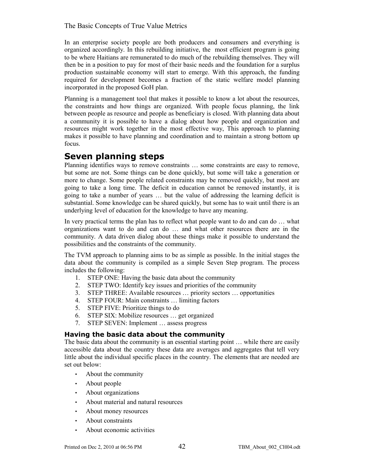In an enterprise society people are both producers and consumers and everything is organized accordingly. In this rebuilding initiative, the most efficient program is going to be where Haitians are remunerated to do much of the rebuilding themselves. They will then be in a position to pay for most of their basic needs and the foundation for a surplus production sustainable economy will start to emerge. With this approach, the funding required for development becomes a fraction of the static welfare model planning incorporated in the proposed GoH plan.

Planning is a management tool that makes it possible to know a lot about the resources, the constraints and how things are organized. With people focus planning, the link between people as resource and people as beneficiary is closed. With planning data about a community it is possible to have a dialog about how people and organization and resources might work together in the most effective way, This approach to planning makes it possible to have planning and coordination and to maintain a strong bottom up focus.

## **Seven planning steps**

Planning identifies ways to remove constraints … some constraints are easy to remove, but some are not. Some things can be done quickly, but some will take a generation or more to change. Some people related constraints may be removed quickly, but most are going to take a long time. The deficit in education cannot be removed instantly, it is going to take a number of years … but the value of addressing the learning deficit is substantial. Some knowledge can be shared quickly, but some has to wait until there is an underlying level of education for the knowledge to have any meaning.

In very practical terms the plan has to reflect what people want to do and can do … what organizations want to do and can do … and what other resources there are in the community. A data driven dialog about these things make it possible to understand the possibilities and the constraints of the community.

The TVM approach to planning aims to be as simple as possible. In the initial stages the data about the community is compiled as a simple Seven Step program. The process includes the following:

- 1. STEP ONE: Having the basic data about the community
- 2. STEP TWO: Identify key issues and priorities of the community
- 3. STEP THREE: Available resources … priority sectors … opportunities
- 4. STEP FOUR: Main constraints … limiting factors
- 5. STEP FIVE: Prioritize things to do
- 6. STEP SIX: Mobilize resources … get organized
- 7. STEP SEVEN: Implement … assess progress

### **Having the basic data about the community**

The basic data about the community is an essential starting point … while there are easily accessible data about the country these data are averages and aggregates that tell very little about the individual specific places in the country. The elements that are needed are set out below:

- About the community
- About people
- About organizations
- About material and natural resources
- About money resources
- About constraints
- About economic activities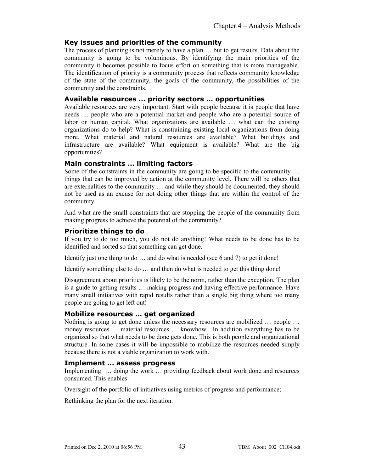### **Key issues and priorities of the community**

The process of planning is not merely to have a plan … but to get results. Data about the community is going to be voluminous. By identifying the main priorities of the community it becomes possible to focus effort on something that is more manageable. The identification of priority is a community process that reflects community knowledge of the state of the community, the goals of the community, the possibilities of the community and the constraints.

#### **Available resources … priority sectors … opportunities**

Available resources are very important. Start with people because it is people that have needs … people who are a potential market and people who are a potential source of labor or human capital. What organizations are available … what can the existing organizations do to help? What is constraining existing local organizations from doing more. What material and natural resources are available? What buildings and infrastructure are available? What equipment is available? What are the big opportunities?

### **Main constraints … limiting factors**

Some of the constraints in the community are going to be specific to the community … things that can be improved by action at the community level. There will be others that are externalities to the community … and while they should be documented, they should not be used as an excuse for not doing other things that are within the control of the community.

And what are the small constraints that are stopping the people of the community from making progress to achieve the potential of the community?

## **Prioritize things to do**

If you try to do too much, you do not do anything! What needs to be done has to be identified and sorted so that something can get done.

Identify just one thing to do … and do what is needed (see 6 and 7) to get it done!

Identify something else to do … and then do what is needed to get this thing done!

Disagreement about priorities is likely to be the norm, rather than the exception. The plan is a guide to getting results … making progress and having effective performance. Have many small initiatives with rapid results rather than a single big thing where too many people are going to get left out!

### **Mobilize resources … get organized**

Nothing is going to get done unless the necessary resources are mobilized ... people ... money resources … material resources … knowhow. In addition everything has to be organized so that what needs to be done gets done. This is both people and organizational structure. In some cases it will be impossible to mobilize the resources needed simply because there is not a viable organization to work with.

#### **Implement … assess progress**

Implementing … doing the work … providing feedback about work done and resources consumed. This enables:

Oversight of the portfolio of initiatives using metrics of progress and performance;

Rethinking the plan for the next iteration.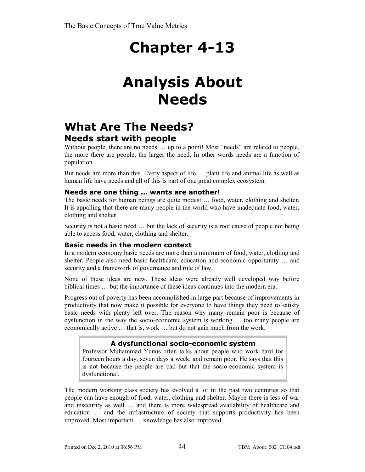# **Analysis About Needs**

## **What Are The Needs? Needs start with people**

Without people, there are no needs ... up to a point! Most "needs" are related to people, the more there are people, the larger the need. In other words needs are a function of population.

But needs are more than this. Every aspect of life … plant life and animal life as well as human life have needs and all of this is part of one great complex ecosystem.

### **Needs are one thing … wants are another!**

The basic needs for human beings are quite modest … food, water, clothing and shelter. It is appalling that there are many people in the world who have inadequate food, water, clothing and shelter.

Security is not a basic need … but the lack of security is a root cause of people not being able to access food, water, clothing and shelter.

### **Basic needs in the modern context**

In a modern economy basic needs are more than a minimum of food, water, clothing and shelter. People also need basic healthcare, education and economic opportunity … and security and a framework of governance and rule of law.

None of these ideas are new. These ideas were already well developed way before biblical times … but the importance of these ideas continues into the modern era.

Progress out of poverty has been accomplished in large part because of improvements in productivity that now make it possible for everyone to have things they need to satisfy basic needs with plenty left over. The reason why many remain poor is because of dysfunction in the way the socio-economic system is working … too many people are economically active … that is, work … but do not gain much from the work.

## **A dysfunctional socio-economic system**

Professor Muhammad Yunus often talks about people who work hard for fourteen hours a day, seven days a week, and remain poor. He says that this is not because the people are bad but that the socio-economic system is dysfunctional.

The modern working class society has evolved a lot in the past two centuries so that people can have enough of food, water, clothing and shelter. Maybe there is less of war and insecurity as well … and there is more widespread availability of healthcare and education … and the infrastructure of society that supports productivity has been improved. Most important … knowledge has also improved.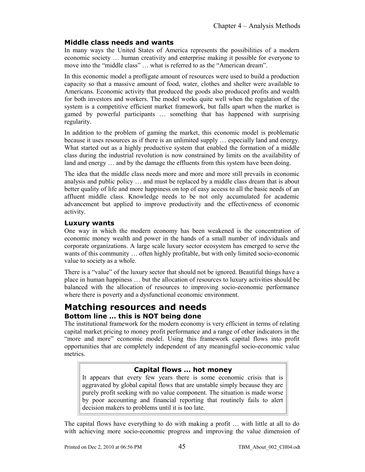### **Middle class needs and wants**

In many ways the United States of America represents the possibilities of a modern economic society … human creativity and enterprise making it possible for everyone to move into the "middle class" … what is referred to as the "American dream".

In this economic model a profligate amount of resources were used to build a production capacity so that a massive amount of food, water, clothes and shelter were available to Americans. Economic activity that produced the goods also produced profits and wealth for both investors and workers. The model works quite well when the regulation of the system is a competitive efficient market framework, but falls apart when the market is gamed by powerful participants … something that has happened with surprising regularity.

In addition to the problem of gaming the market, this economic model is problematic because it uses resources as if there is an unlimited supply … especially land and energy. What started out as a highly productive system that enabled the formation of a middle class during the industrial revolution is now constrained by limits on the availability of land and energy … and by the damage the effluents from this system have been doing.

The idea that the middle class needs more and more and more still prevails in economic analysis and public policy … and must be replaced by a middle class dream that is about better quality of life and more happiness on top of easy access to all the basic needs of an affluent middle class. Knowledge needs to be not only accumulated for academic advancement but applied to improve productivity and the effectiveness of economic activity.

### **Luxury wants**

One way in which the modern economy has been weakened is the concentration of economic money wealth and power in the hands of a small number of individuals and corporate organizations. A large scale luxury sector ecosystem has emerged to serve the wants of this community … often highly profitable, but with only limited socio-economic value to society as a whole.

There is a "value" of the luxury sector that should not be ignored. Beautiful things have a place in human happiness … but the allocation of resources to luxury activities should be balanced with the allocation of resources to improving socio-economic performance where there is poverty and a dysfunctional economic environment.

## **Matching resources and needs**

## **Bottom line … this is NOT being done**

The institutional framework for the modern economy is very efficient in terms of relating capital market pricing to money profit performance and a range of other indicators in the "more and more" economic model. Using this framework capital flows into profit opportunities that are completely independent of any meaningful socio-economic value metrics.

## **Capital flows … hot money**

It appears that every few years there is some economic crisis that is aggravated by global capital flows that are unstable simply because they are purely profit seeking with no value component. The situation is made worse by poor accounting and financial reporting that routinely fails to alert decision makers to problems until it is too late.

The capital flows have everything to do with making a profit … with little at all to do with achieving more socio-economic progress and improving the value dimension of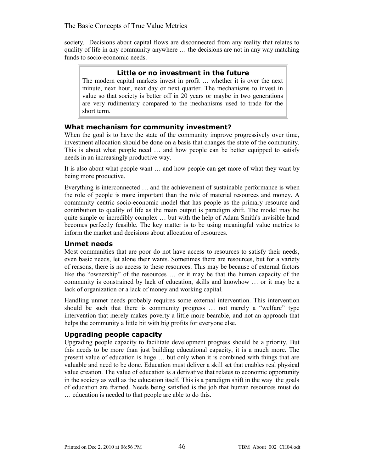society. Decisions about capital flows are disconnected from any reality that relates to quality of life in any community anywhere … the decisions are not in any way matching funds to socio-economic needs.

### **Little or no investment in the future**

The modern capital markets invest in profit … whether it is over the next minute, next hour, next day or next quarter. The mechanisms to invest in value so that society is better off in 20 years or maybe in two generations are very rudimentary compared to the mechanisms used to trade for the short term.

### **What mechanism for community investment?**

When the goal is to have the state of the community improve progressively over time, investment allocation should be done on a basis that changes the state of the community. This is about what people need … and how people can be better equipped to satisfy needs in an increasingly productive way.

It is also about what people want … and how people can get more of what they want by being more productive.

Everything is interconnected … and the achievement of sustainable performance is when the role of people is more important than the role of material resources and money. A community centric socio-economic model that has people as the primary resource and contribution to quality of life as the main output is paradigm shift. The model may be quite simple or incredibly complex … but with the help of Adam Smith's invisible hand becomes perfectly feasible. The key matter is to be using meaningful value metrics to inform the market and decisions about allocation of resources.

#### **Unmet needs**

Most communities that are poor do not have access to resources to satisfy their needs, even basic needs, let alone their wants. Sometimes there are resources, but for a variety of reasons, there is no access to these resources. This may be because of external factors like the "ownership" of the resources … or it may be that the human capacity of the community is constrained by lack of education, skills and knowhow … or it may be a lack of organization or a lack of money and working capital.

Handling unmet needs probably requires some external intervention. This intervention should be such that there is community progress … not merely a "welfare" type intervention that merely makes poverty a little more bearable, and not an approach that helps the community a little bit with big profits for everyone else.

## **Upgrading people capacity**

Upgrading people capacity to facilitate development progress should be a priority. But this needs to be more than just building educational capacity, it is a much more. The present value of education is huge … but only when it is combined with things that are valuable and need to be done. Education must deliver a skill set that enables real physical value creation. The value of education is a derivative that relates to economic opportunity in the society as well as the education itself. This is a paradigm shift in the way the goals of education are framed. Needs being satisfied is the job that human resources must do … education is needed to that people are able to do this.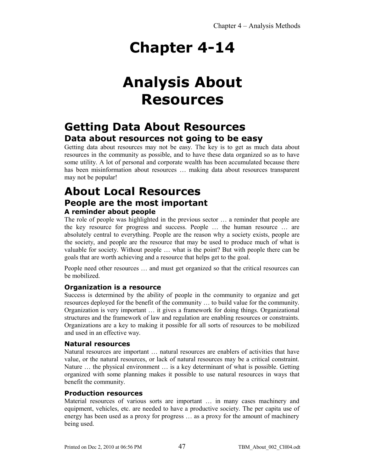# **Analysis About Resources**

## **Getting Data About Resources Data about resources not going to be easy**

Getting data about resources may not be easy. The key is to get as much data about resources in the community as possible, and to have these data organized so as to have some utility. A lot of personal and corporate wealth has been accumulated because there has been misinformation about resources … making data about resources transparent may not be popular!

## **About Local Resources People are the most important A reminder about people**

The role of people was highlighted in the previous sector … a reminder that people are the key resource for progress and success. People … the human resource … are absolutely central to everything. People are the reason why a society exists, people are the society, and people are the resource that may be used to produce much of what is valuable for society. Without people … what is the point? But with people there can be goals that are worth achieving and a resource that helps get to the goal.

People need other resources … and must get organized so that the critical resources can be mobilized.

## **Organization is a resource**

Success is determined by the ability of people in the community to organize and get resources deployed for the benefit of the community … to build value for the community. Organization is very important … it gives a framework for doing things. Organizational structures and the framework of law and regulation are enabling resources or constraints. Organizations are a key to making it possible for all sorts of resources to be mobilized and used in an effective way.

### **Natural resources**

Natural resources are important … natural resources are enablers of activities that have value, or the natural resources, or lack of natural resources may be a critical constraint. Nature … the physical environment … is a key determinant of what is possible. Getting organized with some planning makes it possible to use natural resources in ways that benefit the community.

### **Production resources**

Material resources of various sorts are important … in many cases machinery and equipment, vehicles, etc. are needed to have a productive society. The per capita use of energy has been used as a proxy for progress … as a proxy for the amount of machinery being used.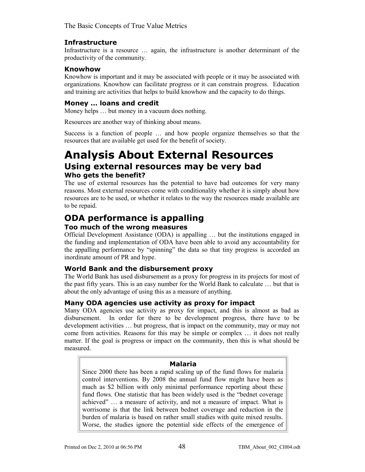### **Infrastructure**

Infrastructure is a resource … again, the infrastructure is another determinant of the productivity of the community.

### **Knowhow**

Knowhow is important and it may be associated with people or it may be associated with organizations. Knowhow can facilitate progress or it can constrain progress. Education and training are activities that helps to build knowhow and the capacity to do things.

### **Money … loans and credit**

Money helps … but money in a vacuum does nothing.

Resources are another way of thinking about means.

Success is a function of people … and how people organize themselves so that the resources that are available get used for the benefit of society.

## **Analysis About External Resources Using external resources may be very bad Who gets the benefit?**

The use of external resources has the potential to have bad outcomes for very many reasons. Most external resources come with conditionality whether it is simply about how resources are to be used, or whether it relates to the way the resources made available are to be repaid.

## **ODA performance is appalling Too much of the wrong measures**

Official Development Assistance (ODA) is appalling … but the institutions engaged in the funding and implementation of ODA have been able to avoid any accountability for the appalling performance by "spinning" the data so that tiny progress is accorded an inordinate amount of PR and hype.

### **World Bank and the disbursement proxy**

The World Bank has used disbursement as a proxy for progress in its projects for most of the past fifty years. This is an easy number for the World Bank to calculate … but that is about the only advantage of using this as a measure of anything.

### **Many ODA agencies use activity as proxy for impact**

Many ODA agencies use activity as proxy for impact, and this is almost as bad as disbursement. In order for there to be development progress, there have to be development activities … but progress, that is impact on the community, may or may not come from activities. Reasons for this may be simple or complex … it does not really matter. If the goal is progress or impact on the community, then this is what should be measured.

### **Malaria**

Since 2000 there has been a rapid scaling up of the fund flows for malaria control interventions. By 2008 the annual fund flow might have been as much as \$2 billion with only minimal performance reporting about these fund flows. One statistic that has been widely used is the "bednet coverage achieved" … a measure of activity, and not a measure of impact. What is worrisome is that the link between bednet coverage and reduction in the burden of malaria is based on rather small studies with quite mixed results. Worse, the studies ignore the potential side effects of the emergence of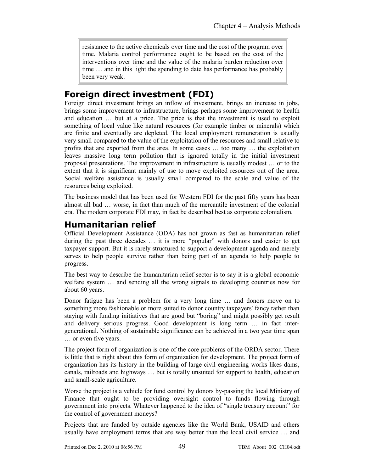resistance to the active chemicals over time and the cost of the program over time. Malaria control performance ought to be based on the cost of the interventions over time and the value of the malaria burden reduction over time … and in this light the spending to date has performance has probably been very weak.

## **Foreign direct investment (FDI)**

Foreign direct investment brings an inflow of investment, brings an increase in jobs, brings some improvement to infrastructure, brings perhaps some improvement to health and education … but at a price. The price is that the investment is used to exploit something of local value like natural resources (for example timber or minerals) which are finite and eventually are depleted. The local employment remuneration is usually very small compared to the value of the exploitation of the resources and small relative to profits that are exported from the area. In some cases … too many … the exploitation leaves massive long term pollution that is ignored totally in the initial investment proposal presentations. The improvement in infrastructure is usually modest … or to the extent that it is significant mainly of use to move exploited resources out of the area. Social welfare assistance is usually small compared to the scale and value of the resources being exploited.

The business model that has been used for Western FDI for the past fifty years has been almost all bad … worse, in fact than much of the mercantile investment of the colonial era. The modern corporate FDI may, in fact be described best as corporate colonialism.

## **Humanitarian relief**

Official Development Assistance (ODA) has not grown as fast as humanitarian relief during the past three decades … it is more "popular" with donors and easier to get taxpayer support. But it is rarely structured to support a development agenda and merely serves to help people survive rather than being part of an agenda to help people to progress.

The best way to describe the humanitarian relief sector is to say it is a global economic welfare system … and sending all the wrong signals to developing countries now for about 60 years.

Donor fatigue has been a problem for a very long time … and donors move on to something more fashionable or more suited to donor country taxpayers' fancy rather than staying with funding initiatives that are good but "boring" and might possibly get result and delivery serious progress. Good development is long term … in fact intergenerational. Nothing of sustainable significance can be achieved in a two year time span … or even five years.

The project form of organization is one of the core problems of the ORDA sector. There is little that is right about this form of organization for development. The project form of organization has its history in the building of large civil engineering works likes dams, canals, railroads and highways … but is totally unsuited for support to health, education and small-scale agriculture.

Worse the project is a vehicle for fund control by donors by-passing the local Ministry of Finance that ought to be providing oversight control to funds flowing through government into projects. Whatever happened to the idea of "single treasury account" for the control of government moneys?

Projects that are funded by outside agencies like the World Bank, USAID and others usually have employment terms that are way better than the local civil service … and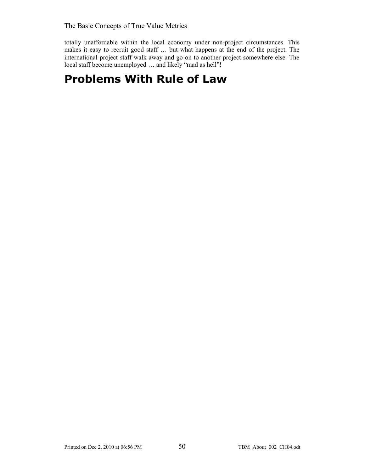totally unaffordable within the local economy under non-project circumstances. This makes it easy to recruit good staff … but what happens at the end of the project. The international project staff walk away and go on to another project somewhere else. The local staff become unemployed ... and likely "mad as hell"!

## **Problems With Rule of Law**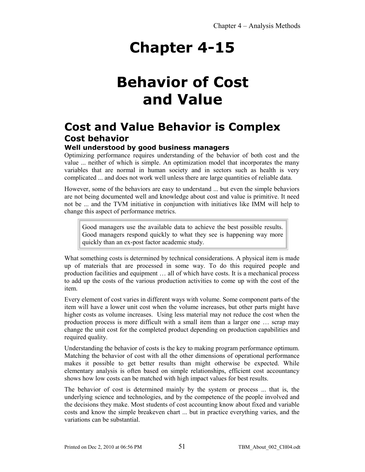# **Behavior of Cost and Value**

## **Cost and Value Behavior is Complex Cost behavior**

## **Well understood by good business managers**

Optimizing performance requires understanding of the behavior of both cost and the value ... neither of which is simple. An optimization model that incorporates the many variables that are normal in human society and in sectors such as health is very complicated ... and does not work well unless there are large quantities of reliable data.

However, some of the behaviors are easy to understand ... but even the simple behaviors are not being documented well and knowledge about cost and value is primitive. It need not be ... and the TVM initiative in conjunction with initiatives like IMM will help to change this aspect of performance metrics.

Good managers use the available data to achieve the best possible results. Good managers respond quickly to what they see is happening way more quickly than an ex-post factor academic study.

What something costs is determined by technical considerations. A physical item is made up of materials that are processed in some way. To do this required people and production facilities and equipment … all of which have costs. It is a mechanical process to add up the costs of the various production activities to come up with the cost of the item.

Every element of cost varies in different ways with volume. Some component parts of the item will have a lower unit cost when the volume increases, but other parts might have higher costs as volume increases. Using less material may not reduce the cost when the production process is more difficult with a small item than a larger one … scrap may change the unit cost for the completed product depending on production capabilities and required quality.

Understanding the behavior of costs is the key to making program performance optimum. Matching the behavior of cost with all the other dimensions of operational performance makes it possible to get better results than might otherwise be expected. While elementary analysis is often based on simple relationships, efficient cost accountancy shows how low costs can be matched with high impact values for best results.

The behavior of cost is determined mainly by the system or process ... that is, the underlying science and technologies, and by the competence of the people involved and the decisions they make. Most students of cost accounting know about fixed and variable costs and know the simple breakeven chart ... but in practice everything varies, and the variations can be substantial.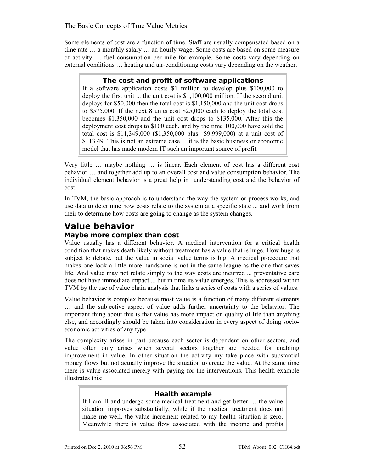Some elements of cost are a function of time. Staff are usually compensated based on a time rate … a monthly salary … an hourly wage. Some costs are based on some measure of activity … fuel consumption per mile for example. Some costs vary depending on external conditions … heating and air-conditioning costs vary depending on the weather.

### **The cost and profit of software applications**

If a software application costs \$1 million to develop plus \$100,000 to deploy the first unit ... the unit cost is \$1,100,000 million. If the second unit deploys for \$50,000 then the total cost is \$1,150,000 and the unit cost drops to \$575,000. If the next 8 units cost \$25,000 each to deploy the total cost becomes \$1,350,000 and the unit cost drops to \$135,000. After this the deployment cost drops to \$100 each, and by the time 100,000 have sold the total cost is \$11,349,000 (\$1,350,000 plus \$9,999,000) at a unit cost of \$113.49. This is not an extreme case ... it is the basic business or economic model that has made modern IT such an important source of profit.

Very little … maybe nothing … is linear. Each element of cost has a different cost behavior … and together add up to an overall cost and value consumption behavior. The individual element behavior is a great help in understanding cost and the behavior of cost.

In TVM, the basic approach is to understand the way the system or process works, and use data to determine how costs relate to the system at a specific state ... and work from their to determine how costs are going to change as the system changes.

## **Value behavior Maybe more complex than cost**

Value usually has a different behavior. A medical intervention for a critical health condition that makes death likely without treatment has a value that is huge. How huge is subject to debate, but the value in social value terms is big. A medical procedure that makes one look a little more handsome is not in the same league as the one that saves life. And value may not relate simply to the way costs are incurred ... preventative care does not have immediate impact ... but in time its value emerges. This is addressed within TVM by the use of value chain analysis that links a series of costs with a series of values.

Value behavior is complex because most value is a function of many different elements … and the subjective aspect of value adds further uncertainty to the behavior. The important thing about this is that value has more impact on quality of life than anything else, and accordingly should be taken into consideration in every aspect of doing socioeconomic activities of any type.

The complexity arises in part because each sector is dependent on other sectors, and value often only arises when several sectors together are needed for enabling improvement in value. In other situation the activity my take place with substantial money flows but not actually improve the situation to create the value. At the same time there is value associated merely with paying for the interventions. This health example illustrates this:

### **Health example**

If I am ill and undergo some medical treatment and get better … the value situation improves substantially, while if the medical treatment does not make me well, the value increment related to my health situation is zero. Meanwhile there is value flow associated with the income and profits